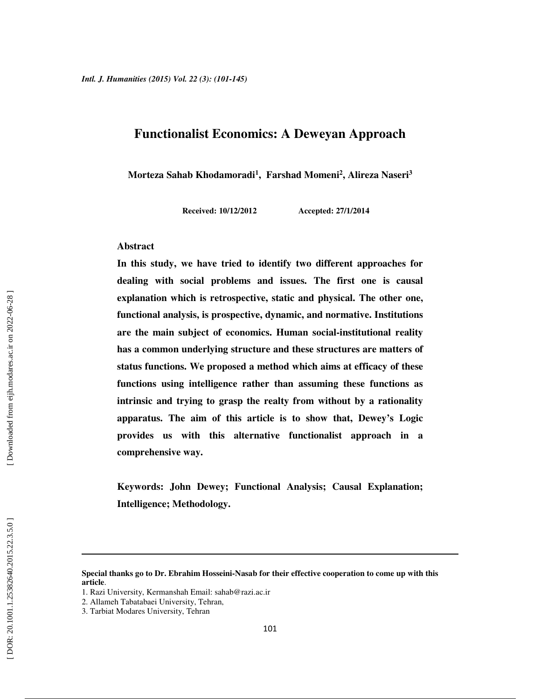# **Functionalist Economics: A Deweyan Approach**

**Morteza Sahab Khodamoradi 1 , Farshad Momeni 2 , Alireza Naseri 3**

**Received: 10/12/2012 Accepted: 27/1/2014**

#### **Abstract**

**In this study, we have tried to identify two different approaches for dealing with social problems and issues. The first one is causal explanation which is retrospective, static and physical. The other one, functional analysis, is prospective, dynamic, and normative. Institutions are the main subject of economics. Human social-institutional reality has a common underlying structure and these structures are matters of status functions. We proposed a method which aims at efficacy of these functions using intelligence rather than assuming these functions as intrinsic and trying to grasp the realty from without by a rationality apparatus. The aim of this article is to show that, Dewey's Logic provides us with this alternative functionalist approach in a comprehensive way.** 

**Keywords: John Dewey; Functional Analysis; Causal Explanation; Intelligence; Methodology.** 

Downloaded from eijh.modares.ac.ir on 2022-06-28

 $\overline{a}$ 

**Special thanks go to Dr. Ebrahim Hosseini-Nasab for their effective cooperation to come up with this article**.

<sup>1.</sup> Razi University, Kermanshah Email: sahab@razi.ac.ir

<sup>2.</sup> Allameh Tabatabaei University, Tehran,

<sup>3.</sup> Tarbiat Modares University, Tehran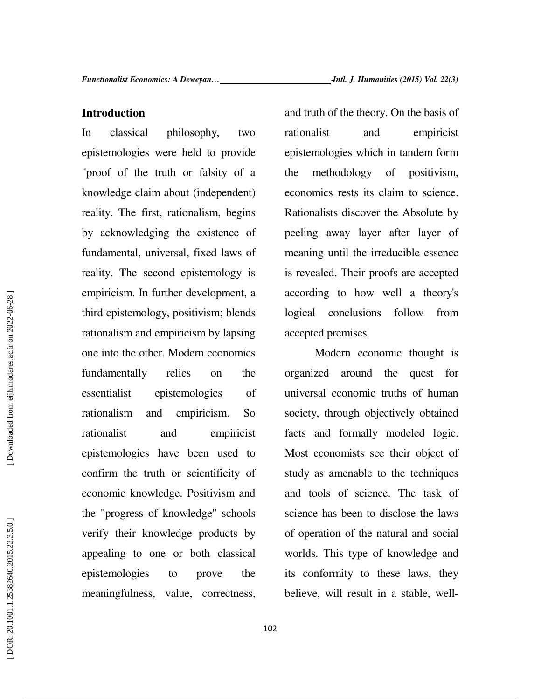### **Introduction**

In classical philosophy, two epistemologies were held to provide "proof of the truth or falsity of a knowledge claim about (independent) reality. The first, rationalism, begins by acknowledging the existence of fundamental, universal, fixed laws of reality. The second epistemology is empiricism. In further development, a third epistemology, positivism; blends rationalism and empiricism by lapsing one into the other. Modern economics fundamentally relies on the essentialist epistemologies of rationalism and empiricism. So rationalist and empiricist epistemologies have been used to confirm the truth or scientificity of economic knowledge. Positivism and the "progress of knowledge" schools verify their knowledge products by appealing to one or both classical epistemologies to prove the meaningfulness, value, correctness,

and truth of the theory. On the basis of rationalist and empiricist epistemologies which in tandem form the methodology of positivism, economics rests its claim to science. Rationalists discover the Absolute by peeling away layer after layer of meaning until the irreducible essence is revealed. Their proofs are accepted according to how well a theory's logical conclusions follow from accepted premises.

Modern economic thought is organized around the quest for universal economic truths of human society, through objectively obtained facts and formally modeled logic. Most economists see their object of study as amenable to the techniques and tools of science. The task of science has been to disclose the laws of operation of the natural and social worlds. This type of knowledge and its conformity to these laws, they believe, will result in a stable, well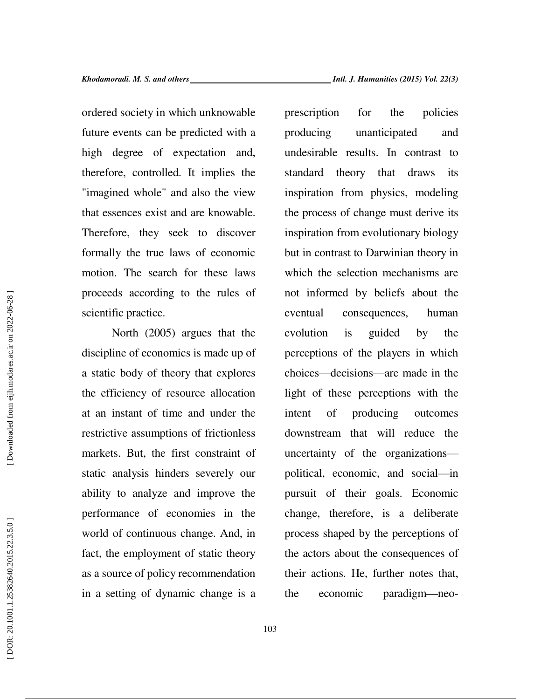ordered society in which unknowable future events can be predicted with a high degree of expectation and, therefore, controlled. It implies the "imagined whole" and also the view that essences exist and are knowable. Therefore, they seek to discover formally the true laws of economic motion. The search for these laws proceeds according to the rules of scientific practice.

North (2005) argues that the discipline of economics is made up of a static body of theory that explores the efficiency of resource allocation at an instant of time and under the restrictive assumptions of frictionless markets. But, the first constraint of static analysis hinders severely our ability to analyze and improve the performance of economies in the world of continuous change. And, in fact, the employment of static theory as a source of policy recommendation in a setting of dynamic change is a

prescription for the policies producing unanticipated and undesirable results. In contrast to standard theory that draws its inspiration from physics, modeling the process of change must derive its inspiration from evolutionary biology but in contrast to Darwinian theory in which the selection mechanisms are not informed by beliefs about the eventual consequences, human evolution is guided by the perceptions of the players in which choices—decisions—are made in the light of these perceptions with the intent of producing outcomes downstream that will reduce the uncertainty of the organizations political, economic, and social—in pursuit of their goals. Economic change, therefore, is a deliberate process shaped by the perceptions of the actors about the consequences of their actions. He, further notes that, the economic paradigm—neo-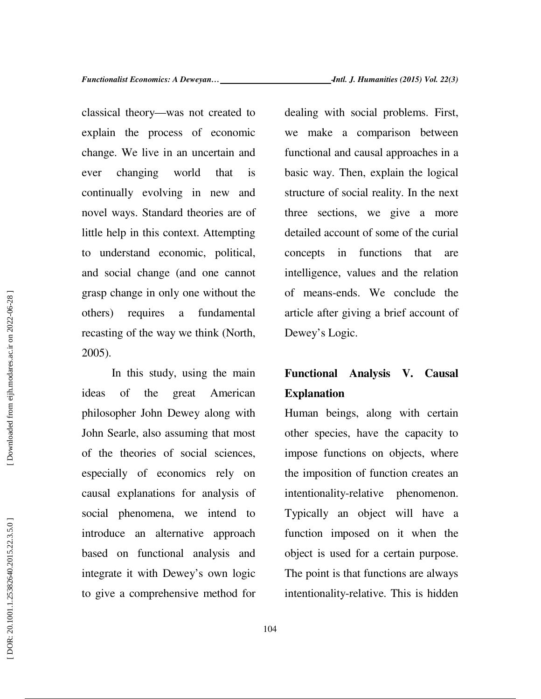<sup>ـ</sup>*Intl. J. Humanities (2015) Vol. 22(3)*

classical theory—was not created to explain the process of economic change. We live in an uncertain and ever changing world that is continually evolving in new and novel ways. Standard theories are of little help in this context. Attempting to understand economic, political, and social change (and one cannot grasp change in only one without the others) requires a fundamental recasting of the way we think (North, 2005).

In this study, using the main ideas of the great American philosopher John Dewey along with John Searle, also assuming that most of the theories of social sciences, especially of economics rely on causal explanations for analysis of social phenomena, we intend to introduce an alternative approach based on functional analysis and integrate it with Dewey's own logic to give a comprehensive method for dealing with social problems. First, we make a comparison between functional and causal approaches in a basic way. Then, explain the logical structure of social reality. In the next three sections, we give a more detailed account of some of the curial concepts in functions that are intelligence, values and the relation of means-ends. We conclude the article after giving a brief account of Dewey's Logic.

# **Functional Analysis V. Causal Explanation**

Human beings, along with certain other species, have the capacity to impose functions on objects, where the imposition of function creates an intentionality-relative phenomenon. Typically an object will have a function imposed on it when the object is used for a certain purpose. The point is that functions are always intentionality-relative. This is hidden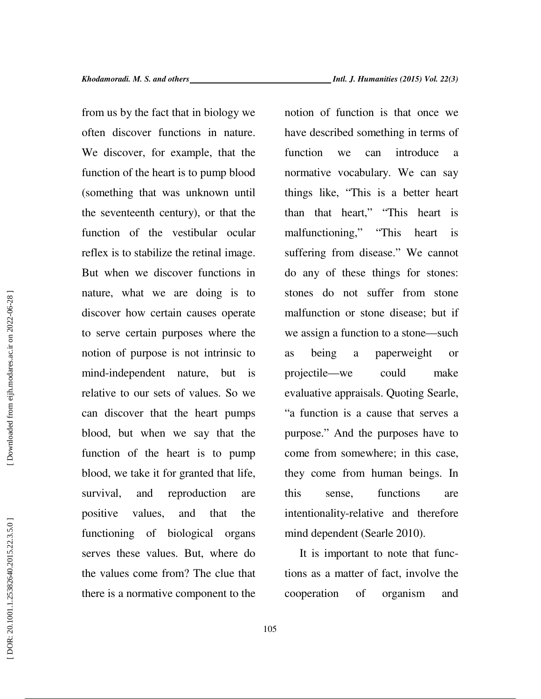from us by the fact that in biology we often discover functions in nature. We discover, for example, that the function of the heart is to pump blood (something that was unknown until the seventeenth century), or that the function of the vestibular ocular reflex is to stabilize the retinal image. But when we discover functions in nature, what we are doing is to discover how certain causes operate to serve certain purposes where the notion of purpose is not intrinsic to mind-independent nature, but is relative to our sets of values. So we can discover that the heart pumps blood, but when we say that the function of the heart is to pump blood, we take it for granted that life, survival, and reproduction are positive values, and that the functioning of biological organs serves these values. But, where do the values come from? The clue that there is a normative component to the notion of function is that once we have described something in terms of function we can introduce a normative vocabulary. We can say things like, "This is a better heart than that heart," "This heart is malfunctioning," "This heart is suffering from disease." We cannot do any of these things for stones: stones do not suffer from stone malfunction or stone disease; but if we assign a function to a stone—such as being a paperweight or projectile—we could make evaluative appraisals. Quoting Searle, "a function is a cause that serves a purpose." And the purposes have to come from somewhere; in this case, they come from human beings. In this sense, functions are intentionality-relative and therefore mind dependent (Searle 2010).

It is important to note that functions as a matter of fact, involve the cooperation of organism and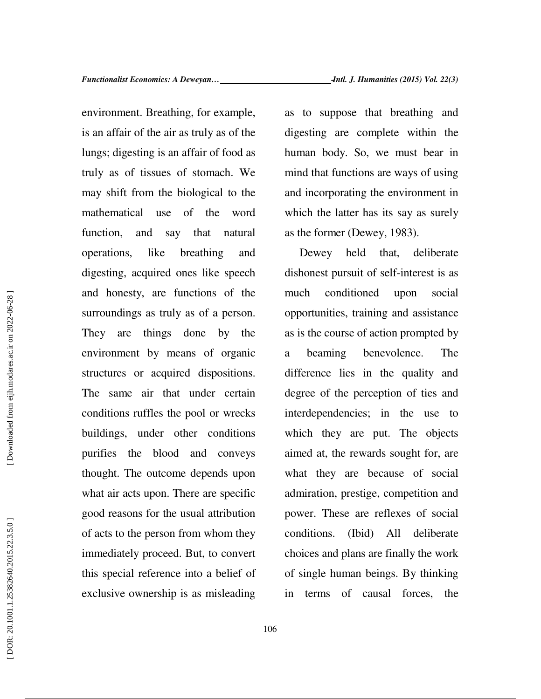environment. Breathing, for example, is an affair of the air as truly as of the lungs; digesting is an affair of food as truly as of tissues of stomach. We may shift from the biological to the mathematical use of the word function, and say that natural operations, like breathing and digesting, acquired ones like speech and honesty, are functions of the surroundings as truly as of a person. They are things done by the environment by means of organic structures or acquired dispositions. The same air that under certain conditions ruffles the pool or wrecks buildings, under other conditions purifies the blood and conveys thought. The outcome depends upon what air acts upon. There are specific good reasons for the usual attribution of acts to the person from whom they immediately proceed. But, to convert this special reference into a belief of exclusive ownership is as misleading as to suppose that breathing and digesting are complete within the human body. So, we must bear in mind that functions are ways of using and incorporating the environment in which the latter has its say as surely as the former (Dewey, 1983).

Dewey held that, deliberate dishonest pursuit of self-interest is as much conditioned upon social opportunities, training and assistance as is the course of action prompted by a beaming benevolence. The difference lies in the quality and degree of the perception of ties and interdependencies; in the use to which they are put. The objects aimed at, the rewards sought for, are what they are because of social admiration, prestige, competition and power. These are reflexes of social conditions. (Ibid) All deliberate choices and plans are finally the work of single human beings. By thinking in terms of causal forces, the

106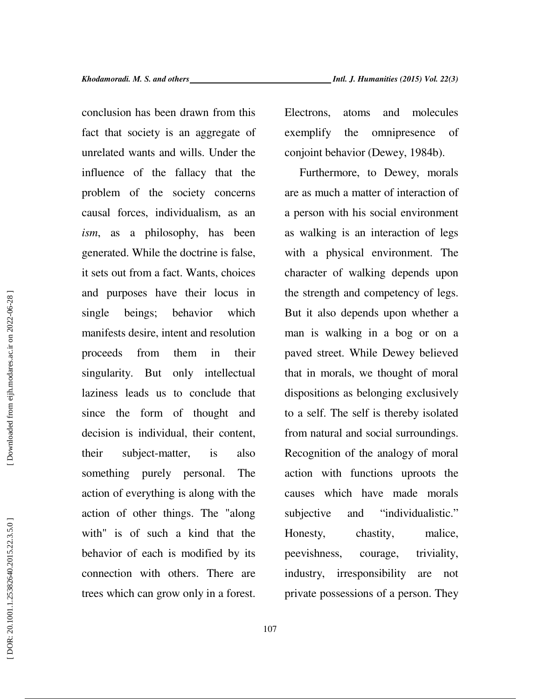conclusion has been drawn from this fact that society is an aggregate of unrelated wants and wills. Under the influence of the fallacy that the problem of the society concerns causal forces, individualism, as an *ism*, as a philosophy, has been generated. While the doctrine is false, it sets out from a fact. Wants, choices and purposes have their locus in single beings; behavior which manifests desire, intent and resolution proceeds from them in their singularity. But only intellectual laziness leads us to conclude that since the form of thought and decision is individual, their content, their subject-matter, is also something purely personal. The action of everything is along with the action of other things. The "along with" is of such a kind that the behavior of each is modified by its connection with others. There are trees which can grow only in a forest.

Electrons, atoms and molecules exemplify the omnipresence of conjoint behavior (Dewey, 1984b).

Furthermore, to Dewey, morals are as much a matter of interaction of a person with his social environment as walking is an interaction of legs with a physical environment. The character of walking depends upon the strength and competency of legs. But it also depends upon whether a man is walking in a bog or on a paved street. While Dewey believed that in morals, we thought of moral dispositions as belonging exclusively to a self. The self is thereby isolated from natural and social surroundings. Recognition of the analogy of moral action with functions uproots the causes which have made morals subjective and "individualistic." Honesty, chastity, malice, peevishness, courage, triviality, industry, irresponsibility are not private possessions of a person. They

Downloaded from eijh.modares.ac.ir on 2022-06-28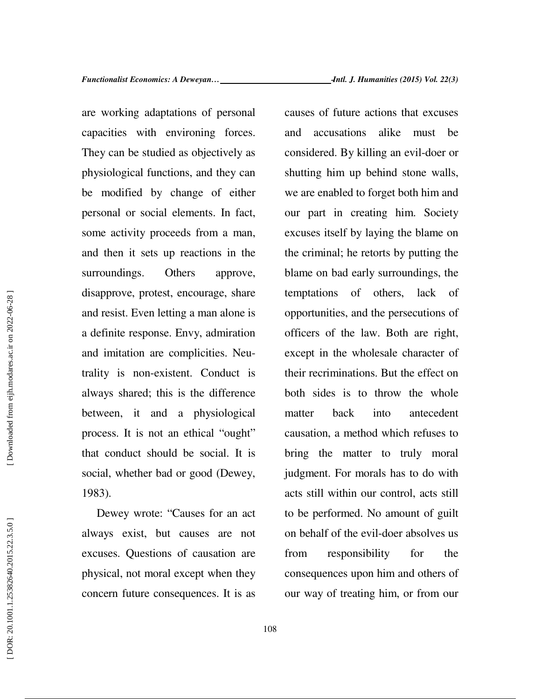are working adaptations of personal capacities with environing forces. They can be studied as objectively as physiological functions, and they can be modified by change of either personal or social elements. In fact, some activity proceeds from a man, and then it sets up reactions in the surroundings. Others approve, disapprove, protest, encourage, share and resist. Even letting a man alone is a definite response. Envy, admiration and imitation are complicities. Neutrality is non-existent. Conduct is always shared; this is the difference between, it and a physiological process. It is not an ethical "ought" that conduct should be social. It is social, whether bad or good (Dewey, 1983).

Dewey wrote: "Causes for an act always exist, but causes are not excuses. Questions of causation are physical, not moral except when they concern future consequences. It is as causes of future actions that excuses and accusations alike must be considered. By killing an evil-doer or shutting him up behind stone walls, we are enabled to forget both him and our part in creating him. Society excuses itself by laying the blame on the criminal; he retorts by putting the blame on bad early surroundings, the temptations of others, lack of opportunities, and the persecutions of officers of the law. Both are right, except in the wholesale character of their recriminations. But the effect on both sides is to throw the whole matter back into antecedent causation, a method which refuses to bring the matter to truly moral judgment. For morals has to do with acts still within our control, acts still to be performed. No amount of guilt on behalf of the evil-doer absolves us from responsibility for the consequences upon him and others of our way of treating him, or from our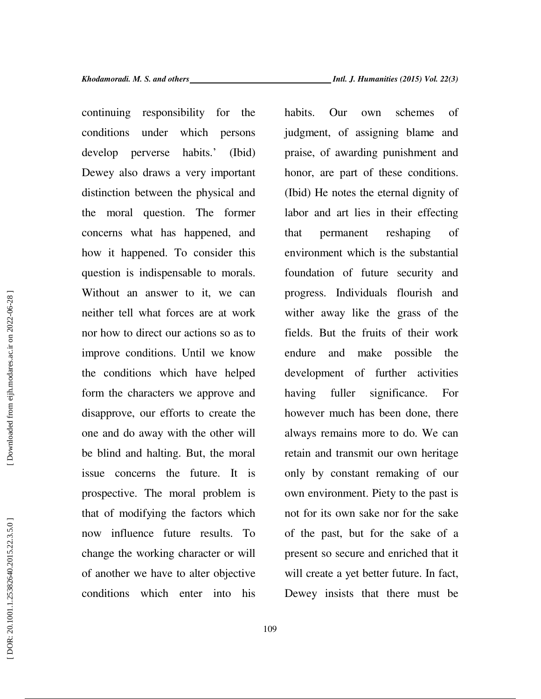continuing responsibility for the conditions under which persons develop perverse habits.' (Ibid) Dewey also draws a very important distinction between the physical and the moral question. The former concerns what has happened, and how it happened. To consider this question is indispensable to morals. Without an answer to it, we can neither tell what forces are at work nor how to direct our actions so as to improve conditions. Until we know the conditions which have helped form the characters we approve and disapprove, our efforts to create the one and do away with the other will be blind and halting. But, the moral issue concerns the future. It is prospective. The moral problem is that of modifying the factors which now influence future results. To change the working character or will of another we have to alter objective conditions which enter into his habits. Our own schemes of judgment, of assigning blame and praise, of awarding punishment and honor, are part of these conditions. (Ibid) He notes the eternal dignity of labor and art lies in their effecting that permanent reshaping of environment which is the substantial foundation of future security and progress. Individuals flourish and wither away like the grass of the fields. But the fruits of their work endure and make possible the development of further activities having fuller significance. For however much has been done, there always remains more to do. We can retain and transmit our own heritage only by constant remaking of our own environment. Piety to the past is not for its own sake nor for the sake of the past, but for the sake of a present so secure and enriched that it will create a yet better future. In fact, Dewey insists that there must be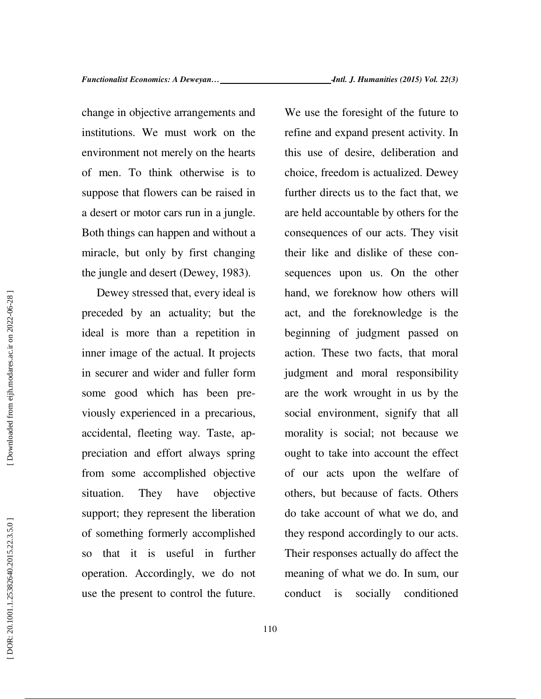change in objective arrangements and institutions. We must work on the environment not merely on the hearts of men. To think otherwise is to suppose that flowers can be raised in a desert or motor cars run in a jungle. Both things can happen and without a miracle, but only by first changing the jungle and desert (Dewey, 1983).

Dewey stressed that, every ideal is preceded by an actuality; but the ideal is more than a repetition in inner image of the actual. It projects in securer and wider and fuller form some good which has been previously experienced in a precarious, accidental, fleeting way. Taste, appreciation and effort always spring from some accomplished objective situation. They have objective support; they represent the liberation of something formerly accomplished so that it is useful in further operation. Accordingly, we do not use the present to control the future. We use the foresight of the future to refine and expand present activity. In this use of desire, deliberation and choice, freedom is actualized. Dewey further directs us to the fact that, we are held accountable by others for the consequences of our acts. They visit their like and dislike of these consequences upon us. On the other hand, we foreknow how others will act, and the foreknowledge is the beginning of judgment passed on action. These two facts, that moral judgment and moral responsibility are the work wrought in us by the social environment, signify that all morality is social; not because we ought to take into account the effect of our acts upon the welfare of others, but because of facts. Others do take account of what we do, and they respond accordingly to our acts. Their responses actually do affect the meaning of what we do. In sum, our conduct is socially conditioned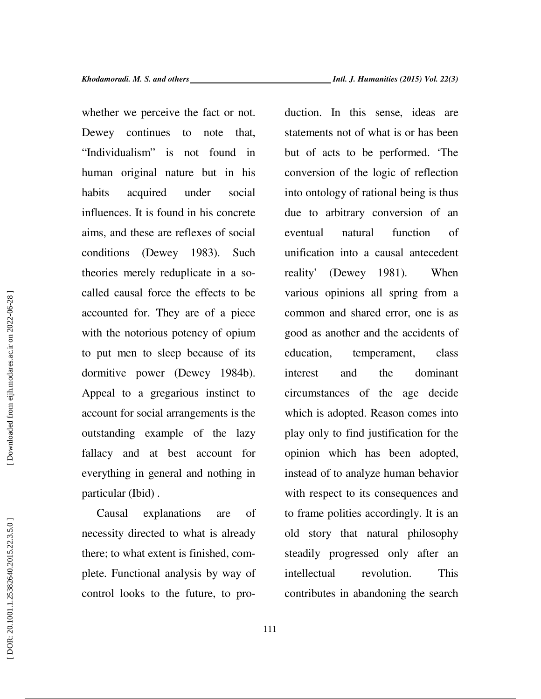whether we perceive the fact or not. Dewey continues to note that, "Individualism" is not found in human original nature but in his habits acquired under social influences. It is found in his concrete aims, and these are reflexes of social conditions (Dewey 1983). Such theories merely reduplicate in a socalled causal force the effects to be accounted for. They are of a piece with the notorious potency of opium to put men to sleep because of its dormitive power (Dewey 1984b). Appeal to a gregarious instinct to account for social arrangements is the outstanding example of the lazy fallacy and at best account for everything in general and nothing in particular (Ibid) .

Causal explanations are of necessity directed to what is already there; to what extent is finished, complete. Functional analysis by way of control looks to the future, to production. In this sense, ideas are statements not of what is or has been but of acts to be performed. 'The conversion of the logic of reflection into ontology of rational being is thus due to arbitrary conversion of an eventual natural function of unification into a causal antecedent reality' (Dewey 1981). When various opinions all spring from a common and shared error, one is as good as another and the accidents of education, temperament, class interest and the dominant circumstances of the age decide which is adopted. Reason comes into play only to find justification for the opinion which has been adopted, instead of to analyze human behavior with respect to its consequences and to frame polities accordingly. It is an old story that natural philosophy steadily progressed only after an intellectual revolution. This contributes in abandoning the search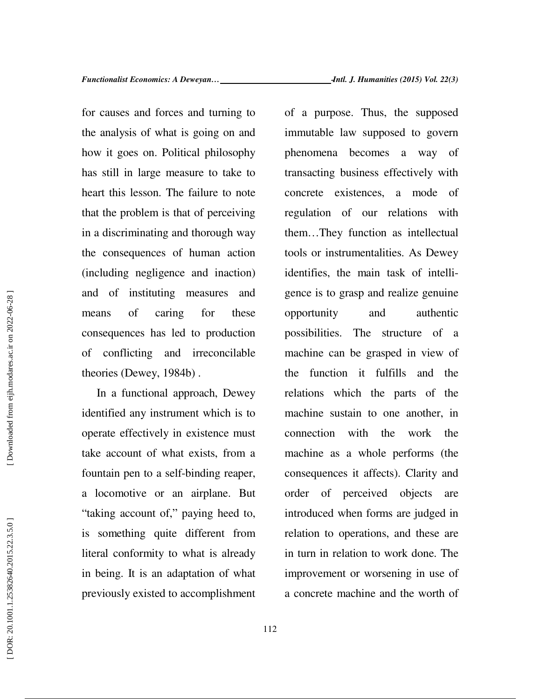for causes and forces and turning to the analysis of what is going on and how it goes on. Political philosophy has still in large measure to take to heart this lesson. The failure to note that the problem is that of perceiving in a discriminating and thorough way the consequences of human action (including negligence and inaction) and of instituting measures and means of caring for these consequences has led to production of conflicting and irreconcilable theories (Dewey, 1984b) .

In a functional approach, Dewey identified any instrument which is to operate effectively in existence must take account of what exists, from a fountain pen to a self-binding reaper, a locomotive or an airplane. But "taking account of," paying heed to, is something quite different from literal conformity to what is already in being. It is an adaptation of what previously existed to accomplishment of a purpose. Thus, the supposed immutable law supposed to govern phenomena becomes a way of transacting business effectively with concrete existences, a mode of regulation of our relations with them…They function as intellectual tools or instrumentalities. As Dewey identifies, the main task of intelligence is to grasp and realize genuine opportunity and authentic possibilities. The structure of a machine can be grasped in view of the function it fulfills and the relations which the parts of the machine sustain to one another, in connection with the work the machine as a whole performs (the consequences it affects). Clarity and order of perceived objects are introduced when forms are judged in relation to operations, and these are in turn in relation to work done. The improvement or worsening in use of a concrete machine and the worth of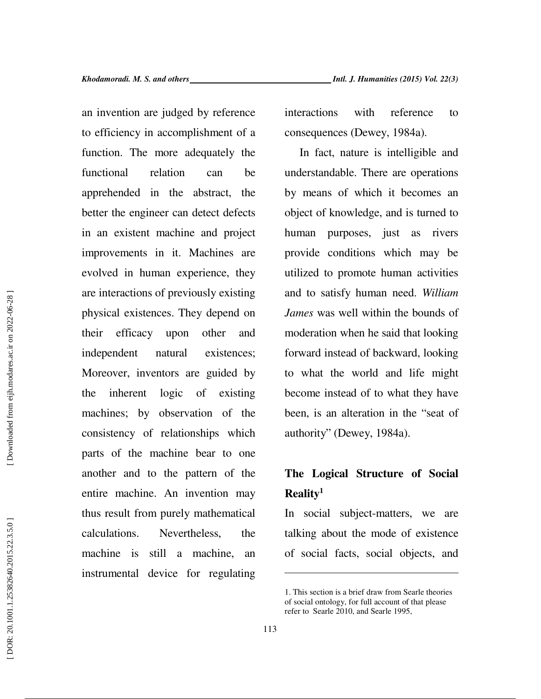an invention are judged by reference to efficiency in accomplishment of a function. The more adequately the functional relation can be apprehended in the abstract, the better the engineer can detect defects in an existent machine and project improvements in it. Machines are evolved in human experience, they are interactions of previously existing physical existences. They depend on their efficacy upon other and independent natural existences; Moreover, inventors are guided by the inherent logic of existing machines; by observation of the consistency of relationships which parts of the machine bear to one another and to the pattern of the entire machine. An invention may thus result from purely mathematical calculations. Nevertheless, the machine is still a machine, an instrumental device for regulating

interactions with reference to consequences (Dewey, 1984a).

In fact, nature is intelligible and understandable. There are operations by means of which it becomes an object of knowledge, and is turned to human purposes, just as rivers provide conditions which may be utilized to promote human activities and to satisfy human need. *William James* was well within the bounds of moderation when he said that looking forward instead of backward, looking to what the world and life might become instead of to what they have been, is an alteration in the "seat of authority" (Dewey, 1984a).

# **The Logical Structure of Social Reality 1**

In social subject-matters, we are talking about the mode of existence of social facts, social objects, and

 $\overline{a}$ 

<sup>1.</sup> This section is a brief draw from Searle theories of social ontology, for full account of that please refer to Searle 2010, and Searle 1995,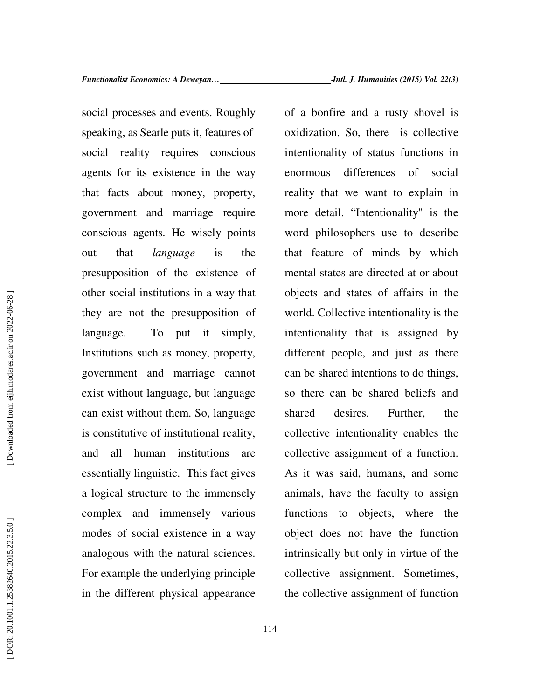social processes and events. Roughly speaking, as Searle puts it, features of social reality requires conscious agents for its existence in the way that facts about money, property, government and marriage require conscious agents. He wisely points out that *language* is the presupposition of the existence of other social institutions in a way that they are not the presupposition of language. To put it simply, Institutions such as money, property, government and marriage cannot exist without language, but language can exist without them. So, language is constitutive of institutional reality, and all human institutions are essentially linguistic. This fact gives a logical structure to the immensely complex and immensely various modes of social existence in a way analogous with the natural sciences. For example the underlying principle in the different physical appearance

of a bonfire and a rusty shovel is oxidization. So, there is collective intentionality of status functions in enormous differences of social reality that we want to explain in more detail. "Intentionality" is the word philosophers use to describe that feature of minds by which mental states are directed at or about objects and states of affairs in the world. Collective intentionality is the intentionality that is assigned by different people, and just as there can be shared intentions to do things, so there can be shared beliefs and shared desires. Further, the collective intentionality enables the collective assignment of a function. As it was said, humans, and some animals, have the faculty to assign functions to objects, where the object does not have the function intrinsically but only in virtue of the collective assignment. Sometimes, the collective assignment of function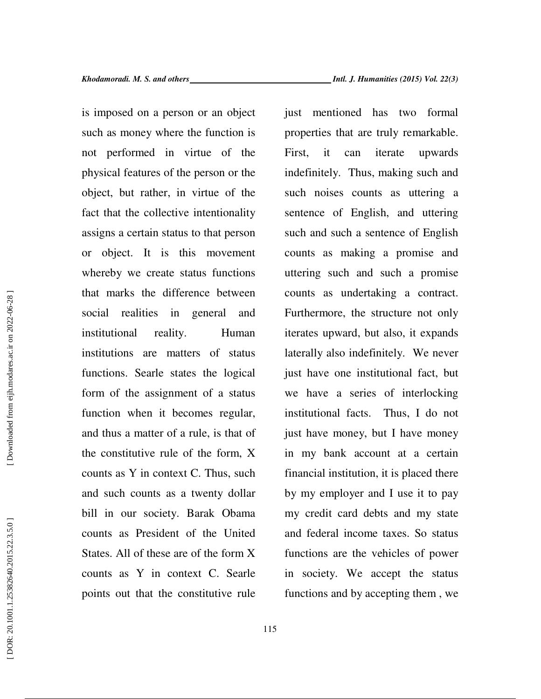is imposed on a person or an object such as money where the function is not performed in virtue of the physical features of the person or the object, but rather, in virtue of the fact that the collective intentionality assigns a certain status to that person or object. It is this movement whereby we create status functions that marks the difference between social realities in general and institutional reality. Human institutions are matters of status functions. Searle states the logical form of the assignment of a status function when it becomes regular, and thus a matter of a rule, is that of the constitutive rule of the form, X counts as Y in context C. Thus, such and such counts as a twenty dollar bill in our society. Barak Obama counts as President of the United States. All of these are of the form X counts as Y in context C. Searle points out that the constitutive rule just mentioned has two formal properties that are truly remarkable. First, it can iterate upwards indefinitely. Thus, making such and such noises counts as uttering a sentence of English, and uttering such and such a sentence of English counts as making a promise and uttering such and such a promise counts as undertaking a contract. Furthermore, the structure not only iterates upward, but also, it expands laterally also indefinitely. We never just have one institutional fact, but we have a series of interlocking institutional facts. Thus, I do not just have money, but I have money in my bank account at a certain financial institution, it is placed there by my employer and I use it to pay my credit card debts and my state and federal income taxes. So status functions are the vehicles of power in society. We accept the status functions and by accepting them , we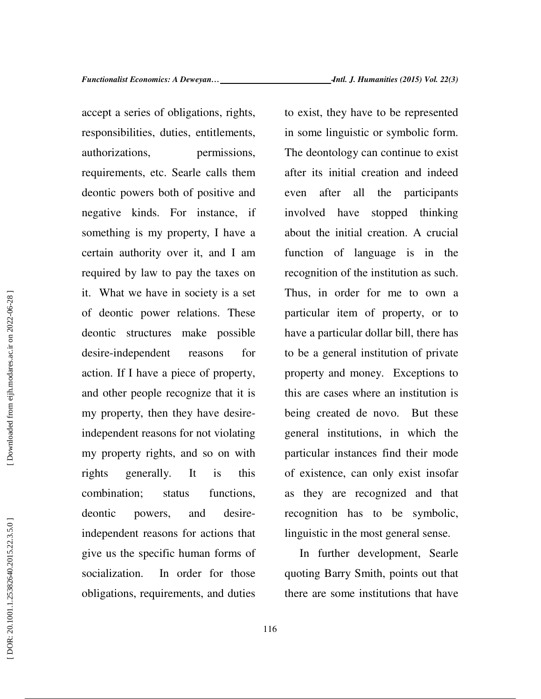accept a series of obligations, rights, responsibilities, duties, entitlements, authorizations, permissions, requirements, etc. Searle calls them deontic powers both of positive and negative kinds. For instance, if something is my property, I have a certain authority over it, and I am required by law to pay the taxes on it. What we have in society is a set of deontic power relations. These deontic structures make possible desire-independent reasons for action. If I have a piece of property, and other people recognize that it is my property, then they have desireindependent reasons for not violating my property rights, and so on with rights generally. It is this combination; status functions, deontic powers, and desireindependent reasons for actions that give us the specific human forms of socialization. In order for those obligations, requirements, and duties

to exist, they have to be represented in some linguistic or symbolic form. The deontology can continue to exist after its initial creation and indeed even after all the participants involved have stopped thinking about the initial creation. A crucial function of language is in the recognition of the institution as such. Thus, in order for me to own a particular item of property, or to have a particular dollar bill, there has to be a general institution of private property and money. Exceptions to this are cases where an institution is being created de novo. But these general institutions, in which the particular instances find their mode of existence, can only exist insofar as they are recognized and that recognition has to be symbolic, linguistic in the most general sense.

In further development, Searle quoting Barry Smith, points out that there are some institutions that have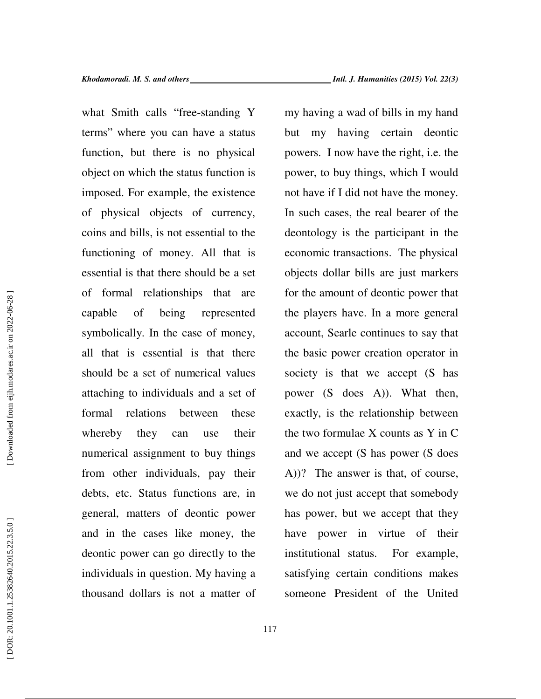what Smith calls "free-standing Y terms" where you can have a status function, but there is no physical object on which the status function is imposed. For example, the existence of physical objects of currency, coins and bills, is not essential to the functioning of money. All that is essential is that there should be a set of formal relationships that are capable of being represented symbolically. In the case of money, all that is essential is that there should be a set of numerical values attaching to individuals and a set of formal relations between these whereby they can use their numerical assignment to buy things from other individuals, pay their debts, etc. Status functions are, in general, matters of deontic power and in the cases like money, the deontic power can go directly to the individuals in question. My having a thousand dollars is not a matter of

my having a wad of bills in my hand but my having certain deontic powers. I now have the right, i.e. the power, to buy things, which I would not have if I did not have the money. In such cases, the real bearer of the deontology is the participant in the economic transactions. The physical objects dollar bills are just markers for the amount of deontic power that the players have. In a more general account, Searle continues to say that the basic power creation operator in society is that we accept (S has power (S does A)). What then, exactly, is the relationship between the two formulae X counts as Y in C and we accept (S has power (S does A))? The answer is that, of course, we do not just accept that somebody has power, but we accept that they have power in virtue of their institutional status. For example, satisfying certain conditions makes someone President of the United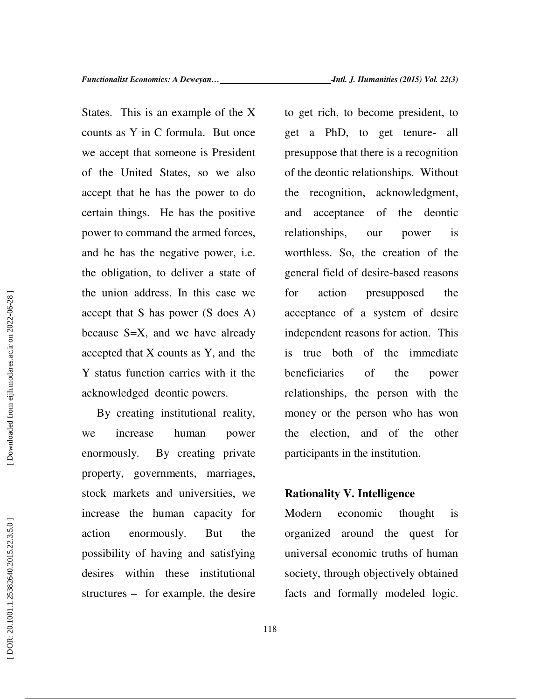States. This is an example of the X counts as Y in C formula. But once we accept that someone is President of the United States, so we also accept that he has the power to do certain things. He has the positive power to command the armed forces, and he has the negative power, i.e. the obligation, to deliver a state of the union address. In this case we accept that S has power (S does A) because S=X, and we have already accepted that X counts as Y, and the Y status function carries with it the acknowledged deontic powers.

By creating institutional reality, we increase human power enormously. By creating private property, governments, marriages, stock markets and universities, we increase the human capacity for action enormously. But the possibility of having and satisfying desires within these institutional structures – for example, the desire to get rich, to become president, to get a PhD, to get tenure- all presuppose that there is a recognition of the deontic relationships. Without the recognition, acknowledgment, and acceptance of the deontic relationships, our power is worthless. So, the creation of the general field of desire-based reasons for action presupposed the acceptance of a system of desire independent reasons for action. This is true both of the immediate beneficiaries of the power relationships, the person with the money or the person who has won the election, and of the other participants in the institution.

#### **Rationality V. Intelligence**

Modern economic thought is organized around the quest for universal economic truths of human society, through objectively obtained facts and formally modeled logic.

Downloaded from eijh.modares.ac.ir on 2022-06-28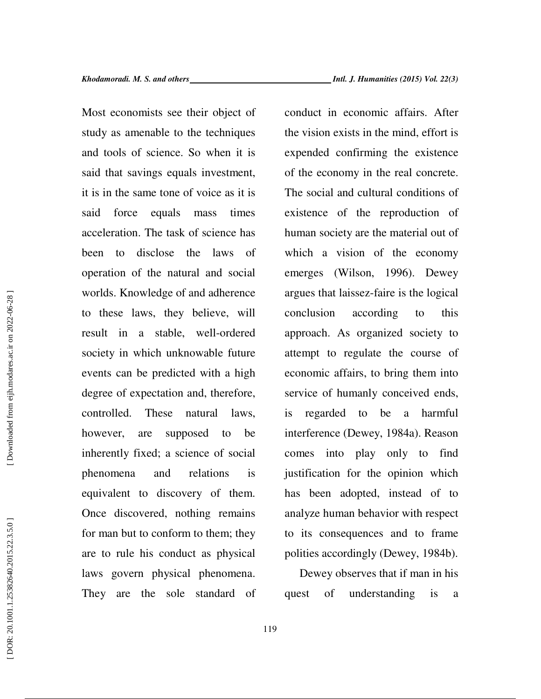Most economists see their object of study as amenable to the techniques and tools of science. So when it is said that savings equals investment, it is in the same tone of voice as it is said force equals mass times acceleration. The task of science has been to disclose the laws of operation of the natural and social worlds. Knowledge of and adherence to these laws, they believe, will result in a stable, well-ordered society in which unknowable future events can be predicted with a high degree of expectation and, therefore, controlled. These natural laws, however, are supposed to be inherently fixed; a science of social phenomena and relations is equivalent to discovery of them. Once discovered, nothing remains for man but to conform to them; they are to rule his conduct as physical laws govern physical phenomena. They are the sole standard of conduct in economic affairs. After the vision exists in the mind, effort is expended confirming the existence of the economy in the real concrete. The social and cultural conditions of existence of the reproduction of human society are the material out of which a vision of the economy emerges (Wilson, 1996). Dewey argues that laissez-faire is the logical conclusion according to this approach. As organized society to attempt to regulate the course of economic affairs, to bring them into service of humanly conceived ends, is regarded to be a harmful interference (Dewey, 1984a). Reason comes into play only to find justification for the opinion which has been adopted, instead of to analyze human behavior with respect to its consequences and to frame polities accordingly (Dewey, 1984b).

Dewey observes that if man in his quest of understanding is a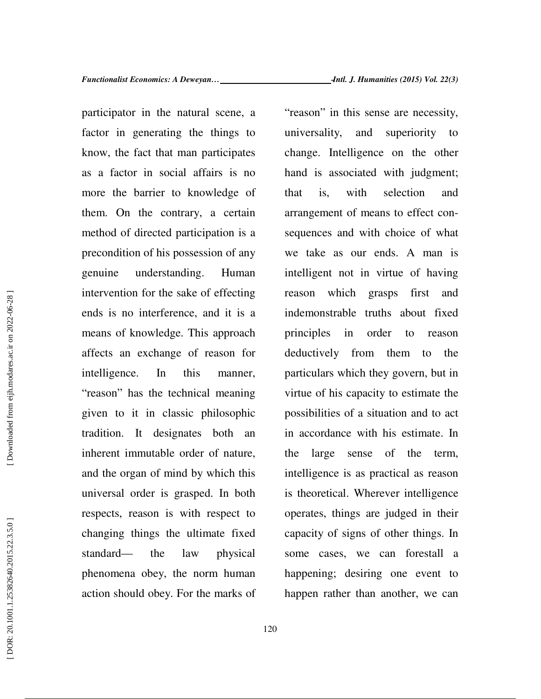participator in the natural scene, a factor in generating the things to know, the fact that man participates as a factor in social affairs is no more the barrier to knowledge of them. On the contrary, a certain method of directed participation is a precondition of his possession of any genuine understanding. Human intervention for the sake of effecting ends is no interference, and it is a means of knowledge. This approach affects an exchange of reason for intelligence. In this manner, "reason" has the technical meaning given to it in classic philosophic tradition. It designates both an inherent immutable order of nature, and the organ of mind by which this universal order is grasped. In both respects, reason is with respect to changing things the ultimate fixed standard— the law physical phenomena obey, the norm human action should obey. For the marks of "reason" in this sense are necessity, universality, and superiority to change. Intelligence on the other hand is associated with judgment; that is, with selection and arrangement of means to effect consequences and with choice of what we take as our ends. A man is intelligent not in virtue of having reason which grasps first and indemonstrable truths about fixed principles in order to reason deductively from them to the particulars which they govern, but in virtue of his capacity to estimate the possibilities of a situation and to act in accordance with his estimate. In the large sense of the term, intelligence is as practical as reason is theoretical. Wherever intelligence operates, things are judged in their capacity of signs of other things. In some cases, we can forestall a happening; desiring one event to happen rather than another, we can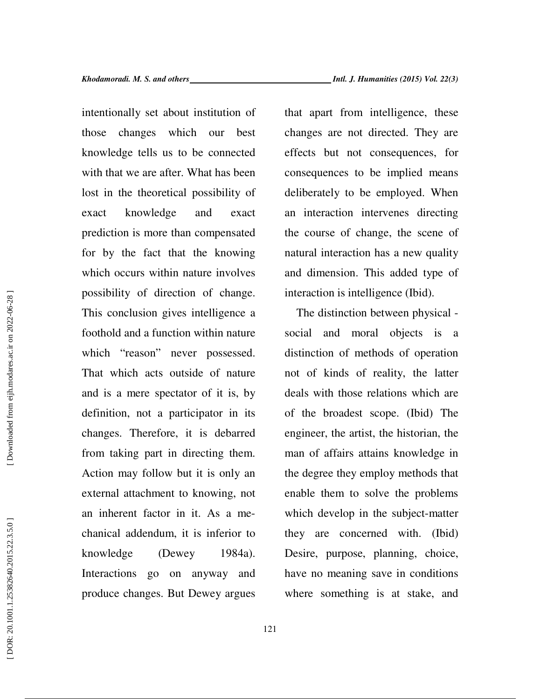*Khodamoradi. M. S. and others Intl. J. Humanities (2015) Vol. 22(3)*

intentionally set about institution of those changes which our best knowledge tells us to be connected with that we are after. What has been lost in the theoretical possibility of exact knowledge and exact prediction is more than compensated for by the fact that the knowing which occurs within nature involves possibility of direction of change. This conclusion gives intelligence a foothold and a function within nature which "reason" never possessed. That which acts outside of nature and is a mere spectator of it is, by definition, not a participator in its changes. Therefore, it is debarred from taking part in directing them. Action may follow but it is only an external attachment to knowing, not an inherent factor in it. As a mechanical addendum, it is inferior to knowledge (Dewey 1984a). Interactions go on anyway and produce changes. But Dewey argues

that apart from intelligence, these changes are not directed. They are effects but not consequences, for consequences to be implied means deliberately to be employed. When an interaction intervenes directing the course of change, the scene of natural interaction has a new quality and dimension. This added type of interaction is intelligence (Ibid).

The distinction between physical social and moral objects is a distinction of methods of operation not of kinds of reality, the latter deals with those relations which are of the broadest scope. (Ibid) The engineer, the artist, the historian, the man of affairs attains knowledge in the degree they employ methods that enable them to solve the problems which develop in the subject-matter they are concerned with. (Ibid) Desire, purpose, planning, choice, have no meaning save in conditions where something is at stake, and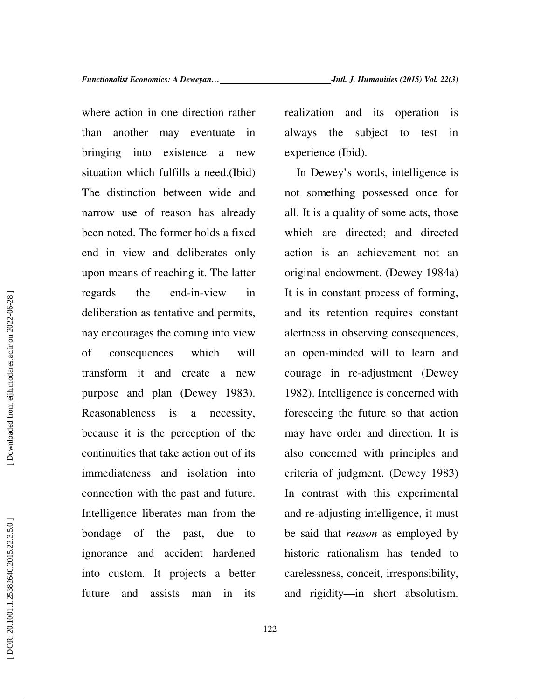where action in one direction rather than another may eventuate in bringing into existence a new situation which fulfills a need.(Ibid) The distinction between wide and narrow use of reason has already been noted. The former holds a fixed end in view and deliberates only upon means of reaching it. The latter regards the end-in-view in deliberation as tentative and permits, nay encourages the coming into view of consequences which will transform it and create a new purpose and plan (Dewey 1983). Reasonableness is a necessity, because it is the perception of the continuities that take action out of its immediateness and isolation into connection with the past and future. Intelligence liberates man from the bondage of the past, due ignorance and accident hardened into custom. It projects a better future and assists man in its realization and its operation is always the subject to test in experience (Ibid).

In Dewey's words, intelligence is not something possessed once for all. It is a quality of some acts, those which are directed; and directed action is an achievement not an original endowment. (Dewey 1984a) It is in constant process of forming, and its retention requires constant alertness in observing consequences, an open-minded will to learn and courage in re-adjustment (Dewey 1982). Intelligence is concerned with foreseeing the future so that action may have order and direction. It is also concerned with principles and criteria of judgment. (Dewey 1983) In contrast with this experimental and re-adjusting intelligence, it must be said that *reason* as employed by historic rationalism has tended to carelessness, conceit, irresponsibility, and rigidity—in short absolutism.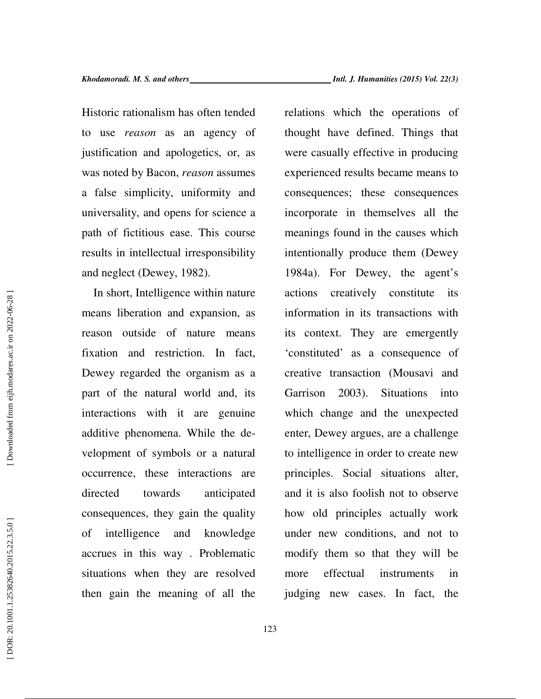Historic rationalism has often tended to use *reason* as an agency of justification and apologetics, or, as was noted by Bacon, *reason* assumes a false simplicity, uniformity and universality, and opens for science a path of fictitious ease. This course results in intellectual irresponsibility and neglect (Dewey, 1982).

In short, Intelligence within nature means liberation and expansion, as reason outside of nature means fixation and restriction. In fact, Dewey regarded the organism as a part of the natural world and, its interactions with it are genuine additive phenomena. While the development of symbols or a natural occurrence, these interactions are directed towards anticipated consequences, they gain the quality of intelligence and knowledge accrues in this way . Problematic situations when they are resolved then gain the meaning of all the relations which the operations of thought have defined. Things that were casually effective in producing experienced results became means to consequences; these consequences incorporate in themselves all the meanings found in the causes which intentionally produce them (Dewey 1984a). For Dewey, the agent's actions creatively constitute its information in its transactions with its context. They are emergently 'constituted' as a consequence of creative transaction (Mousavi and Garrison 2003). Situations into which change and the unexpected enter, Dewey argues, are a challenge to intelligence in order to create new principles. Social situations alter, and it is also foolish not to observe how old principles actually work under new conditions, and not to modify them so that they will be more effectual instruments in judging new cases. In fact, the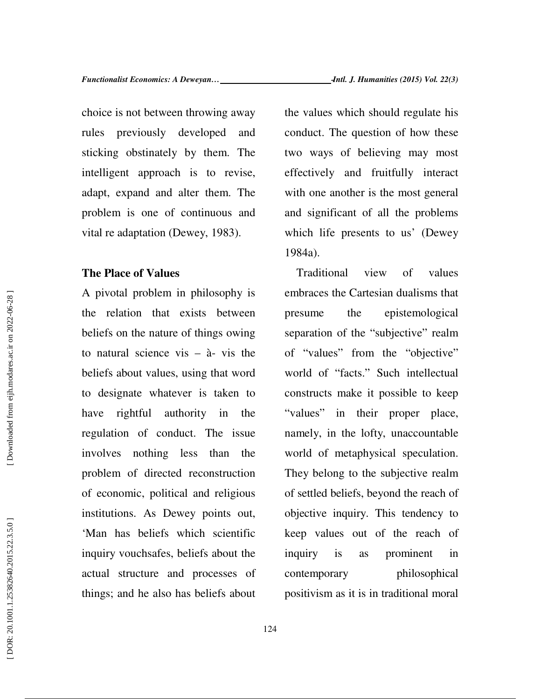choice is not between throwing away rules previously developed and sticking obstinately by them. The intelligent approach is to revise, adapt, expand and alter them. The problem is one of continuous and vital re adaptation (Dewey, 1983).

### **The Place of Values**

A pivotal problem in philosophy is the relation that exists between beliefs on the nature of things owing to natural science vis  $\hat{a}$ - vis the beliefs about values, using that word to designate whatever is taken to have rightful authority in the regulation of conduct. The issue involves nothing less than the problem of directed reconstruction of economic, political and religious institutions. As Dewey points out, 'Man has beliefs which scientific inquiry vouchsafes, beliefs about the actual structure and processes of things; and he also has beliefs about

the values which should regulate his conduct. The question of how these two ways of believing may most effectively and fruitfully interact with one another is the most general and significant of all the problems which life presents to us' (Dewey 1984a).

Traditional view of values embraces the Cartesian dualisms that presume the epistemological separation of the "subjective" realm of "values" from the "objective" world of "facts." Such intellectual constructs make it possible to keep "values" in their proper place, namely, in the lofty, unaccountable world of metaphysical speculation. They belong to the subjective realm of settled beliefs, beyond the reach of objective inquiry. This tendency to keep values out of the reach of inquiry is as prominent in contemporary philosophical positivism as it is in traditional moral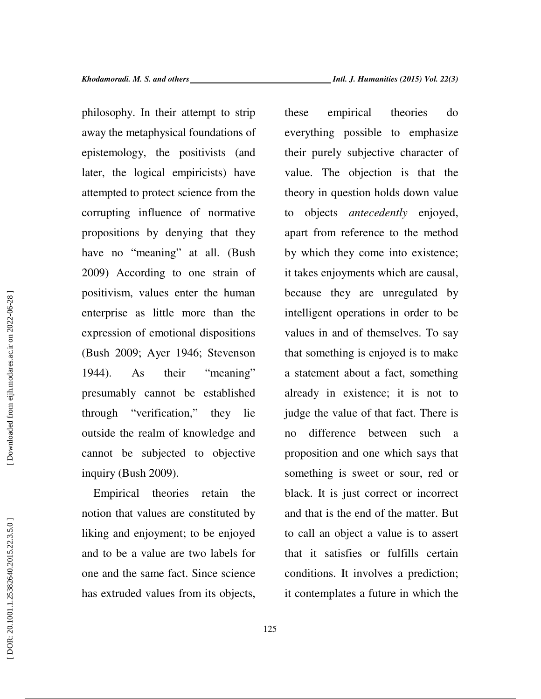philosophy. In their attempt to strip away the metaphysical foundations of epistemology, the positivists (and later, the logical empiricists) have attempted to protect science from the corrupting influence of normative propositions by denying that they have no "meaning" at all. (Bush 2009) According to one strain of positivism, values enter the human enterprise as little more than the expression of emotional dispositions (Bush 2009; Ayer 1946; Stevenson 1944). As their "meaning" presumably cannot be established through "verification," they lie outside the realm of knowledge and cannot be subjected to objective inquiry (Bush 2009).

Empirical theories retain the notion that values are constituted by liking and enjoyment; to be enjoyed and to be a value are two labels for one and the same fact. Since science has extruded values from its objects, these empirical theories do everything possible to emphasize their purely subjective character of value. The objection is that the theory in question holds down value to objects *antecedently* enjoyed, apart from reference to the method by which they come into existence; it takes enjoyments which are causal, because they are unregulated by intelligent operations in order to be values in and of themselves. To say that something is enjoyed is to make a statement about a fact, something already in existence; it is not to judge the value of that fact. There is no difference between such a proposition and one which says that something is sweet or sour, red or black. It is just correct or incorrect and that is the end of the matter. But to call an object a value is to assert that it satisfies or fulfills certain conditions. It involves a prediction; it contemplates a future in which the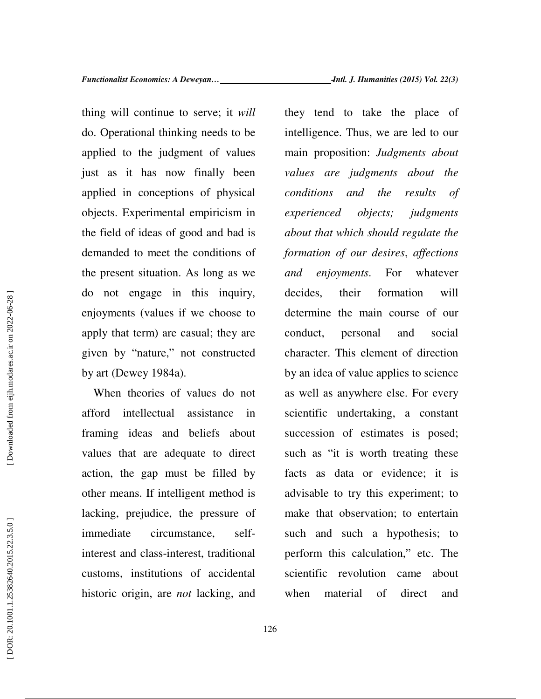thing will continue to serve; it *will* do. Operational thinking needs to be applied to the judgment of values just as it has now finally been applied in conceptions of physical objects. Experimental empiricism in the field of ideas of good and bad is demanded to meet the conditions of the present situation. As long as we do not engage in this inquiry, enjoyments (values if we choose to apply that term) are casual; they are given by "nature," not constructed by art (Dewey 1984a).

When theories of values do not afford intellectual assistance in framing ideas and beliefs about values that are adequate to direct action, the gap must be filled by other means. If intelligent method is lacking, prejudice, the pressure of immediate circumstance, selfinterest and class-interest, traditional customs, institutions of accidental historic origin, are *not* lacking, and

they tend to take the place of intelligence. Thus, we are led to our main proposition: *Judgments about values are judgments about the conditions and the results of experienced objects; judgments about that which should regulate the formation of our desires*, *affections and enjoyments*. For whatever decides, their formation will determine the main course of our conduct, personal and social character. This element of direction by an idea of value applies to science as well as anywhere else. For every scientific undertaking, a constant succession of estimates is posed; such as "it is worth treating these facts as data or evidence; it is advisable to try this experiment; to make that observation; to entertain such and such a hypothesis; to perform this calculation," etc. The scientific revolution came about when material of direct and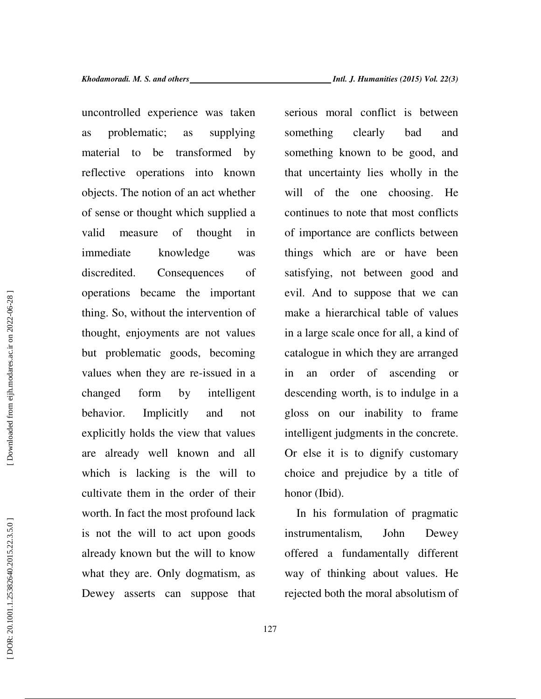*Khodamoradi. M. S. and others Intl. J. Humanities (2015) Vol. 22(3)* 

uncontrolled experience was taken as problematic; as supplying material to be transformed by reflective operations into known objects. The notion of an act whether of sense or thought which supplied a valid measure of thought in immediate knowledge was discredited. Consequences of operations became the important thing. So, without the intervention of thought, enjoyments are not values but problematic goods, becoming values when they are re-issued in a changed form by intelligent behavior. Implicitly and not explicitly holds the view that values are already well known and all which is lacking is the will to cultivate them in the order of their worth. In fact the most profound lack is not the will to act upon goods already known but the will to know what they are. Only dogmatism, as Dewey asserts can suppose that

serious moral conflict is between something clearly bad and something known to be good, and that uncertainty lies wholly in the will of the one choosing. He continues to note that most conflicts of importance are conflicts between things which are or have been satisfying, not between good and evil. And to suppose that we can make a hierarchical table of values in a large scale once for all, a kind of catalogue in which they are arranged in an order of ascending or descending worth, is to indulge in a gloss on our inability to frame intelligent judgments in the concrete. Or else it is to dignify customary choice and prejudice by a title of honor (Ibid).

In his formulation of pragmatic instrumentalism, John Dewey offered a fundamentally different way of thinking about values. He rejected both the moral absolutism of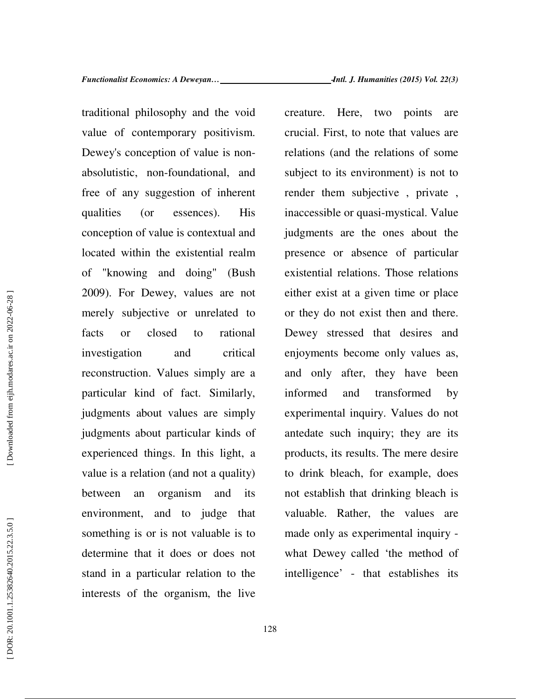traditional philosophy and the void value of contemporary positivism. Dewey's conception of value is nonabsolutistic, non-foundational, and free of any suggestion of inherent qualities (or essences). His conception of value is contextual and located within the existential realm of "knowing and doing" (Bush 2009). For Dewey, values are not merely subjective or unrelated to facts or closed to rational investigation and critical reconstruction. Values simply are a particular kind of fact. Similarly, judgments about values are simply judgments about particular kinds of experienced things. In this light, a value is a relation (and not a quality) between an organism and its environment, and to judge that something is or is not valuable is to determine that it does or does not stand in a particular relation to the interests of the organism, the live creature. Here, two points are crucial. First, to note that values are relations (and the relations of some subject to its environment) is not to render them subjective , private , inaccessible or quasi-mystical. Value judgments are the ones about the presence or absence of particular existential relations. Those relations either exist at a given time or place or they do not exist then and there. Dewey stressed that desires and enjoyments become only values as, and only after, they have been informed and transformed by experimental inquiry. Values do not antedate such inquiry; they are its products, its results. The mere desire to drink bleach, for example, does not establish that drinking bleach is valuable. Rather, the values are made only as experimental inquiry what Dewey called 'the method of intelligence' - that establishes its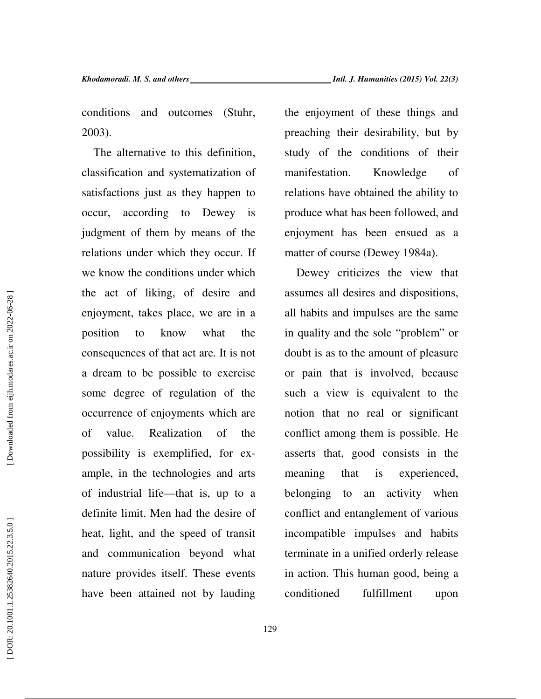conditions and outcomes (Stuhr, 2003).

The alternative to this definition, classification and systematization of satisfactions just as they happen to occur, according to Dewey is judgment of them by means of the relations under which they occur. If we know the conditions under which the act of liking, of desire and enjoyment, takes place, we are in a position to know what the consequences of that act are. It is not a dream to be possible to exercise some degree of regulation of the occurrence of enjoyments which are of value. Realization of the possibility is exemplified, for example, in the technologies and arts of industrial life—that is, up to a definite limit. Men had the desire of heat, light, and the speed of transit and communication beyond what nature provides itself. These events have been attained not by lauding

the enjoyment of these things and preaching their desirability, but by study of the conditions of their manifestation. Knowledge of relations have obtained the ability to produce what has been followed, and enjoyment has been ensued as a matter of course (Dewey 1984a).

Dewey criticizes the view that assumes all desires and dispositions, all habits and impulses are the same in quality and the sole "problem" or doubt is as to the amount of pleasure or pain that is involved, because such a view is equivalent to the notion that no real or significant conflict among them is possible. He asserts that, good consists in the meaning that is experienced, belonging to an activity when conflict and entanglement of various incompatible impulses and habits terminate in a unified orderly release in action. This human good, being a conditioned fulfillment upon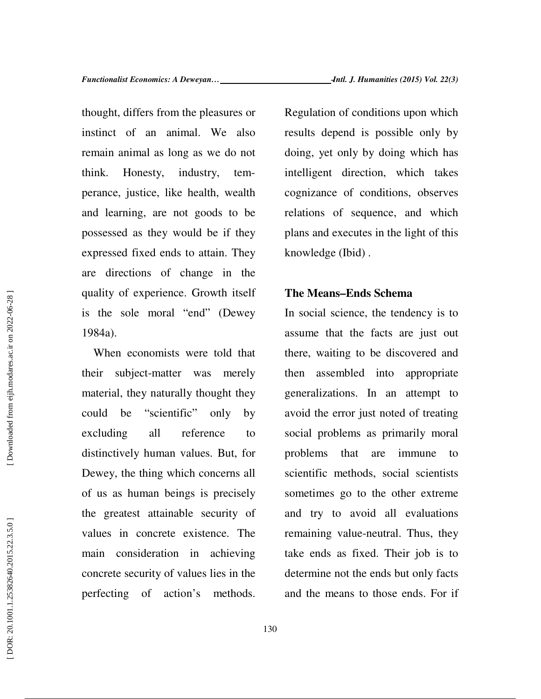thought, differs from the pleasures or instinct of an animal. We also remain animal as long as we do not think. Honesty, industry, temperance, justice, like health, wealth and learning, are not goods to be possessed as they would be if they expressed fixed ends to attain. They are directions of change in the quality of experience. Growth itself is the sole moral "end" (Dewey 1984a).

When economists were told that their subject-matter was merely material, they naturally thought they could be "scientific" only by excluding all reference to distinctively human values. But, for Dewey, the thing which concerns all of us as human beings is precisely the greatest attainable security of values in concrete existence. The main consideration in achieving concrete security of values lies in the perfecting of action's methods. Regulation of conditions upon which results depend is possible only by doing, yet only by doing which has intelligent direction, which takes cognizance of conditions, observes relations of sequence, and which plans and executes in the light of this knowledge (Ibid) .

## **The Means–Ends Schema**

In social science, the tendency is to assume that the facts are just out there, waiting to be discovered and then assembled into appropriate generalizations. In an attempt to avoid the error just noted of treating social problems as primarily moral problems that are immune to scientific methods, social scientists sometimes go to the other extreme and try to avoid all evaluations remaining value-neutral. Thus, they take ends as fixed. Their job is to determine not the ends but only facts and the means to those ends. For if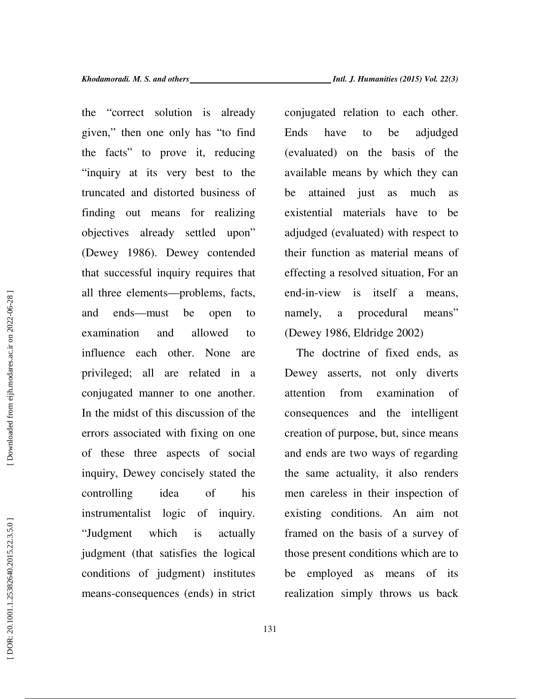the "correct solution is already given," then one only has "to find the facts" to prove it, reducing "inquiry at its very best to the truncated and distorted business of finding out means for realizing objectives already settled upon" (Dewey 1986). Dewey contended that successful inquiry requires that all three elements—problems, facts, and ends—must be open to examination and allowed to influence each other. None are privileged; all are related in a conjugated manner to one another. In the midst of this discussion of the errors associated with fixing on one of these three aspects of social inquiry, Dewey concisely stated the controlling idea of his instrumentalist logic of inquiry. "Judgment which is actually

conjugated relation to each other. Ends have to be adjudged (evaluated) on the basis of the available means by which they can be attained just as much as existential materials have to be adjudged (evaluated) with respect to their function as material means of effecting a resolved situation, For an end-in-view is itself a means, namely, a procedural means" (Dewey 1986, Eldridge 2002)

The doctrine of fixed ends, as Dewey asserts, not only diverts attention from examination of consequences and the intelligent creation of purpose, but, since means and ends are two ways of regarding the same actuality, it also renders men careless in their inspection of existing conditions. An aim not framed on the basis of a survey of those present conditions which are to be employed as means of its realization simply throws us back

judgment (that satisfies the logical

conditions of judgment) institutes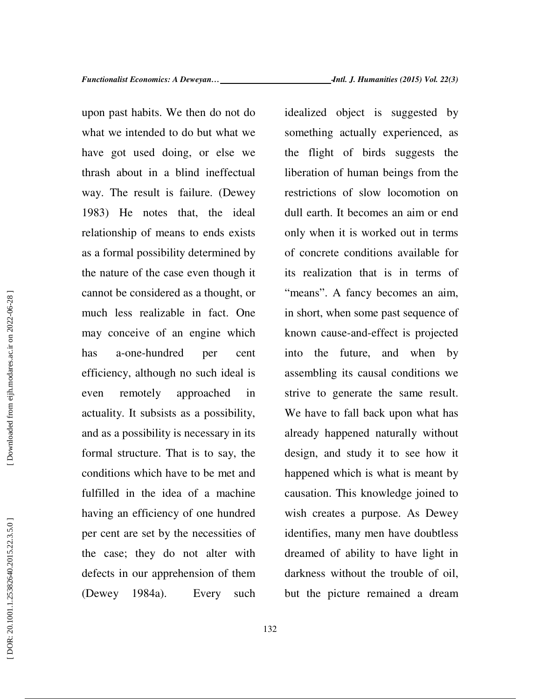upon past habits. We then do not do what we intended to do but what we have got used doing, or else we thrash about in a blind ineffectual way. The result is failure. (Dewey 1983) He notes that, the ideal relationship of means to ends exists as a formal possibility determined by the nature of the case even though it cannot be considered as a thought, or much less realizable in fact. One may conceive of an engine which has a-one-hundred per cent efficiency, although no such ideal is even remotely approached in actuality. It subsists as a possibility, and as a possibility is necessary in its formal structure. That is to say, the conditions which have to be met and fulfilled in the idea of a machine having an efficiency of one hundred per cent are set by the necessities of the case; they do not alter with defects in our apprehension of them (Dewey 1984a). Every such idealized object is suggested by something actually experienced, as the flight of birds suggests the liberation of human beings from the restrictions of slow locomotion on dull earth. It becomes an aim or end only when it is worked out in terms of concrete conditions available for its realization that is in terms of "means". A fancy becomes an aim, in short, when some past sequence of known cause-and-effect is projected into the future, and when by assembling its causal conditions we strive to generate the same result. We have to fall back upon what has already happened naturally without design, and study it to see how it happened which is what is meant by causation. This knowledge joined to wish creates a purpose. As Dewey identifies, many men have doubtless dreamed of ability to have light in darkness without the trouble of oil, but the picture remained a dream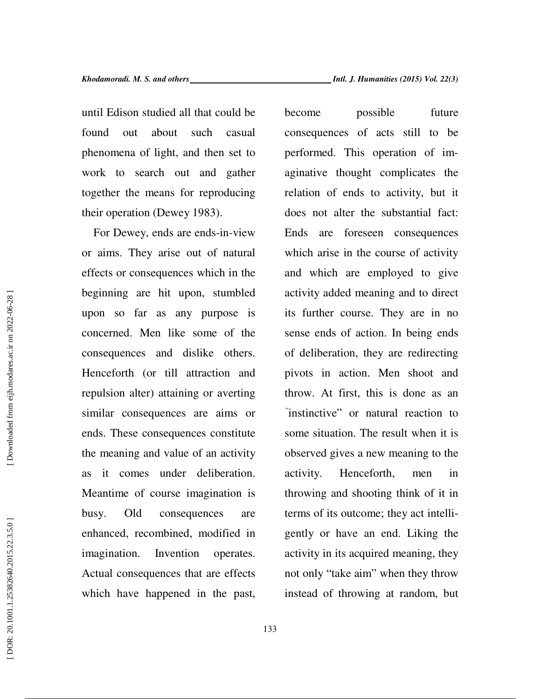until Edison studied all that could be found out about such casual phenomena of light, and then set to work to search out and gather together the means for reproducing their operation (Dewey 1983).

For Dewey, ends are ends-in-view or aims. They arise out of natural effects or consequences which in the beginning are hit upon, stumbled upon so far as any purpose is concerned. Men like some of the consequences and dislike others. Henceforth (or till attraction and repulsion alter) attaining or averting similar consequences are aims or ends. These consequences constitute the meaning and value of an activity as it comes under deliberation. Meantime of course imagination is busy. Old consequences are enhanced, recombined, modified in imagination. Invention operates. Actual consequences that are effects which have happened in the past, become possible future consequences of acts still to be performed. This operation of imaginative thought complicates the relation of ends to activity, but it does not alter the substantial fact: Ends are foreseen consequences which arise in the course of activity and which are employed to give activity added meaning and to direct its further course. They are in no sense ends of action. In being ends of deliberation, they are redirecting pivots in action. Men shoot and throw. At first, this is done as an *"* instinctive" or natural reaction to some situation. The result when it is observed gives a new meaning to the activity. Henceforth, men in throwing and shooting think of it in terms of its outcome; they act intelligently or have an end. Liking the activity in its acquired meaning, they not only "take aim" when they throw instead of throwing at random, but

133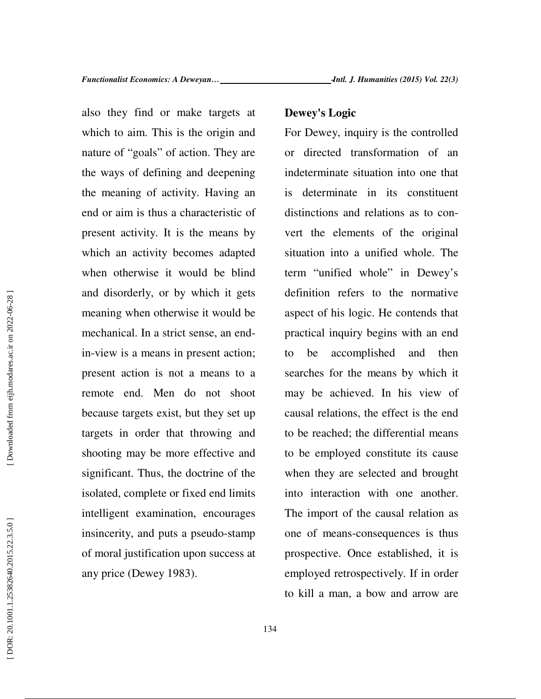also they find or make targets at which to aim. This is the origin and nature of "goals" of action. They are the ways of defining and deepening the meaning of activity. Having an end or aim is thus a characteristic of present activity. It is the means by which an activity becomes adapted when otherwise it would be blind and disorderly, or by which it gets meaning when otherwise it would be mechanical. In a strict sense, an endin-view is a means in present action; present action is not a means to a remote end. Men do not shoot because targets exist, but they set up targets in order that throwing and shooting may be more effective and significant. Thus, the doctrine of the isolated, complete or fixed end limits intelligent examination, encourages insincerity, and puts a pseudo-stamp of moral justification upon success at any price (Dewey 1983).

#### **Dewey's Logic**

For Dewey, inquiry is the controlled or directed transformation of an indeterminate situation into one that is determinate in its constituent distinctions and relations as to convert the elements of the original situation into a unified whole. The term "unified whole" in Dewey's definition refers to the normative aspect of his logic. He contends that practical inquiry begins with an end to be accomplished and then searches for the means by which it may be achieved. In his view of causal relations, the effect is the end to be reached; the differential means to be employed constitute its cause when they are selected and brought into interaction with one another. The import of the causal relation as one of means-consequences is thus prospective. Once established, it is employed retrospectively. If in order to kill a man, a bow and arrow are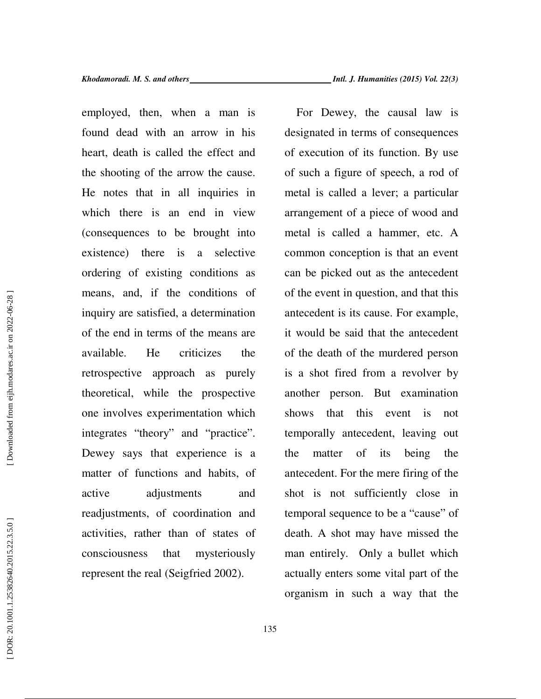employed, then, when a man is found dead with an arrow in his heart, death is called the effect and the shooting of the arrow the cause. He notes that in all inquiries in which there is an end in view (consequences to be brought into existence) there is a selective ordering of existing conditions as means, and, if the conditions of inquiry are satisfied, a determination of the end in terms of the means are available. He criticizes the retrospective approach as purely theoretical, while the prospective one involves experimentation which integrates "theory" and "practice". Dewey says that experience is a matter of functions and habits, of active adjustments and readjustments, of coordination and activities, rather than of states of consciousness that mysteriously represent the real (Seigfried 2002).

For Dewey, the causal law is designated in terms of consequences of execution of its function. By use of such a figure of speech, a rod of metal is called a lever; a particular arrangement of a piece of wood and metal is called a hammer, etc. A common conception is that an event can be picked out as the antecedent of the event in question, and that this antecedent is its cause. For example, it would be said that the antecedent of the death of the murdered person is a shot fired from a revolver by another person. But examination shows that this event is not temporally antecedent, leaving out the matter of its being the antecedent. For the mere firing of the shot is not sufficiently close in temporal sequence to be a "cause" of death. A shot may have missed the man entirely. Only a bullet which actually enters some vital part of the organism in such a way that the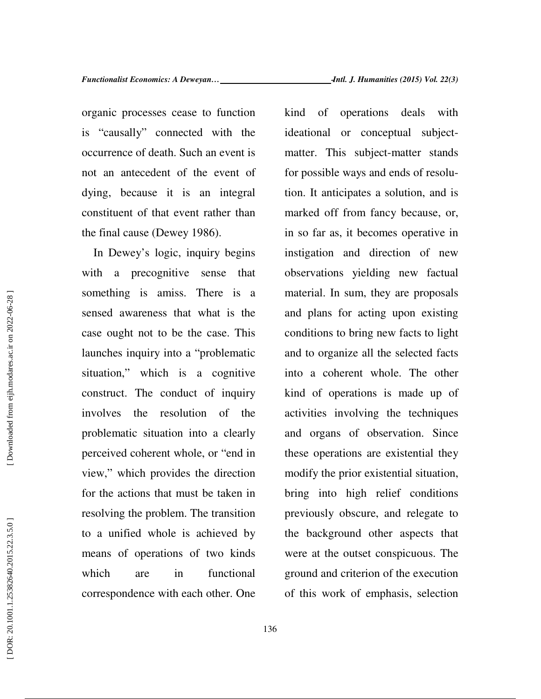organic processes cease to function is "causally" connected with the occurrence of death. Such an event is not an antecedent of the event of dying, because it is an integral constituent of that event rather than the final cause (Dewey 1986).

In Dewey's logic, inquiry begins with a precognitive sense that something is amiss. There is a sensed awareness that what is the case ought not to be the case. This launches inquiry into a "problematic situation," which is a cognitive construct. The conduct of inquiry involves the resolution of the problematic situation into a clearly perceived coherent whole, or "end in view," which provides the direction for the actions that must be taken in resolving the problem. The transition to a unified whole is achieved by means of operations of two kinds which are in functional correspondence with each other. One kind of operations deals with ideational or conceptual subjectmatter. This subject-matter stands for possible ways and ends of resolution. It anticipates a solution, and is marked off from fancy because, or, in so far as, it becomes operative in instigation and direction of new observations yielding new factual material. In sum, they are proposals and plans for acting upon existing conditions to bring new facts to light and to organize all the selected facts into a coherent whole. The other kind of operations is made up of activities involving the techniques and organs of observation. Since these operations are existential they modify the prior existential situation, bring into high relief conditions previously obscure, and relegate to the background other aspects that were at the outset conspicuous. The ground and criterion of the execution of this work of emphasis, selection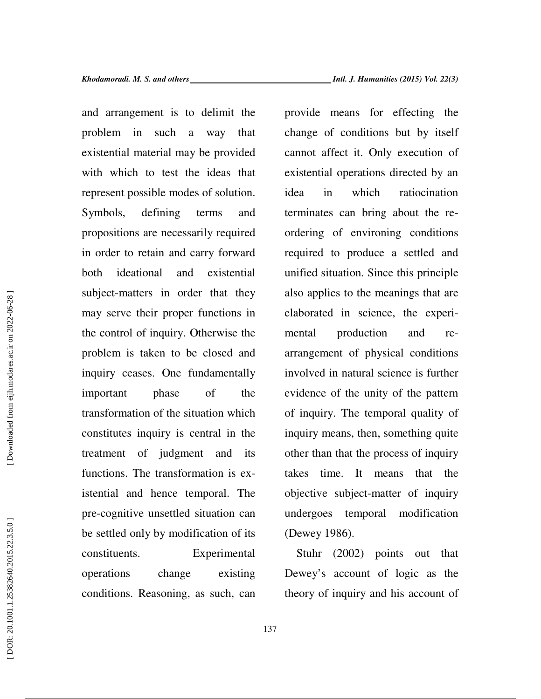*Khodamoradi. M. S. and others Intl. J. Humanities (2015) Vol. 22(3)* 

and arrangement is to delimit the problem in such a way that existential material may be provided with which to test the ideas that represent possible modes of solution. Symbols, defining terms and propositions are necessarily required in order to retain and carry forward both ideational and existential subject-matters in order that they may serve their proper functions in the control of inquiry. Otherwise the problem is taken to be closed and inquiry ceases. One fundamentally important phase of the transformation of the situation which constitutes inquiry is central in the treatment of judgment and its functions. The transformation is existential and hence temporal. The pre-cognitive unsettled situation can be settled only by modification of its constituents. Experimental operations change existing conditions. Reasoning, as such, can provide means for effecting the change of conditions but by itself cannot affect it. Only execution of existential operations directed by an idea in which ratiocination terminates can bring about the reordering of environing conditions required to produce a settled and unified situation. Since this principle also applies to the meanings that are elaborated in science, the experimental production and rearrangement of physical conditions involved in natural science is further evidence of the unity of the pattern of inquiry. The temporal quality of inquiry means, then, something quite other than that the process of inquiry takes time. It means that the objective subject-matter of inquiry undergoes temporal modification (Dewey 1986).

Stuhr (2002) points out that Dewey's account of logic as the theory of inquiry and his account of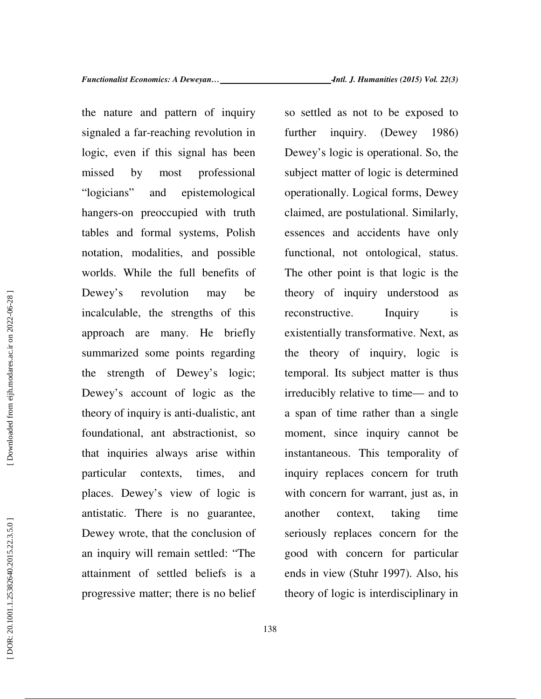the nature and pattern of inquiry signaled a far-reaching revolution in logic, even if this signal has been missed by most professional "logicians" and epistemological hangers-on preoccupied with truth tables and formal systems, Polish notation, modalities, and possible worlds. While the full benefits of Dewey's revolution may be incalculable, the strengths of this approach are many. He briefly summarized some points regarding the strength of Dewey's logic; Dewey's account of logic as the theory of inquiry is anti-dualistic, ant foundational, ant abstractionist, so that inquiries always arise within particular contexts, times, and places. Dewey's view of logic is antistatic. There is no guarantee, Dewey wrote, that the conclusion of an inquiry will remain settled: "The attainment of settled beliefs is a progressive matter; there is no belief so settled as not to be exposed to further inquiry. (Dewey 1986) Dewey's logic is operational. So, the subject matter of logic is determined operationally. Logical forms, Dewey claimed, are postulational. Similarly, essences and accidents have only functional, not ontological, status. The other point is that logic is the theory of inquiry understood as reconstructive. Inquiry is existentially transformative. Next, as the theory of inquiry, logic is temporal. Its subject matter is thus irreducibly relative to time— and to a span of time rather than a single moment, since inquiry cannot be instantaneous. This temporality of inquiry replaces concern for truth with concern for warrant, just as, in another context, taking time seriously replaces concern for the good with concern for particular ends in view (Stuhr 1997). Also, his theory of logic is interdisciplinary in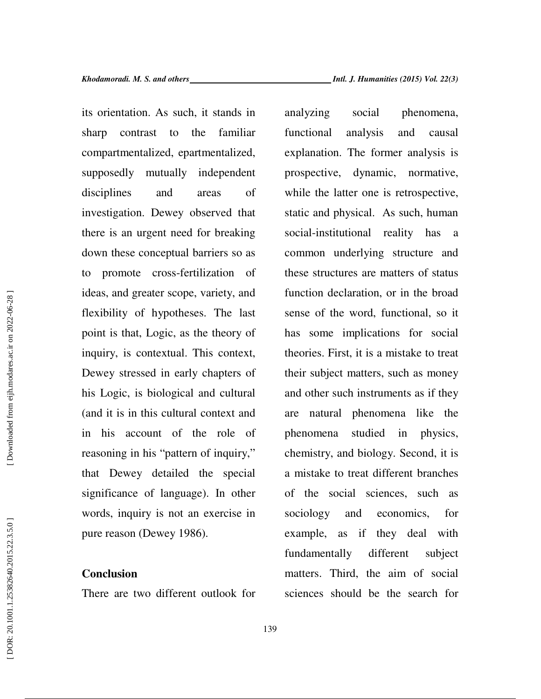its orientation. As such, it stands in sharp contrast to the familiar compartmentalized, epartmentalized, supposedly mutually independent disciplines and areas of investigation. Dewey observed that there is an urgent need for breaking down these conceptual barriers so as to promote cross-fertilization of ideas, and greater scope, variety, and flexibility of hypotheses. The last point is that, Logic, as the theory of inquiry, is contextual. This context, Dewey stressed in early chapters of his Logic, is biological and cultural (and it is in this cultural context and in his account of the role of reasoning in his "pattern of inquiry," that Dewey detailed the special significance of language). In other words, inquiry is not an exercise in pure reason (Dewey 1986).

## **Conclusion**

There are two different outlook for

analyzing social phenomena, functional analysis and causal explanation. The former analysis is prospective, dynamic, normative, while the latter one is retrospective, static and physical. As such, human social-institutional reality has a common underlying structure and these structures are matters of status function declaration, or in the broad sense of the word, functional, so it has some implications for social theories. First, it is a mistake to treat their subject matters, such as money and other such instruments as if they are natural phenomena like the phenomena studied in physics, chemistry, and biology. Second, it is a mistake to treat different branches of the social sciences, such as sociology and economics, for example, as if they deal with fundamentally different subject matters. Third, the aim of social sciences should be the search for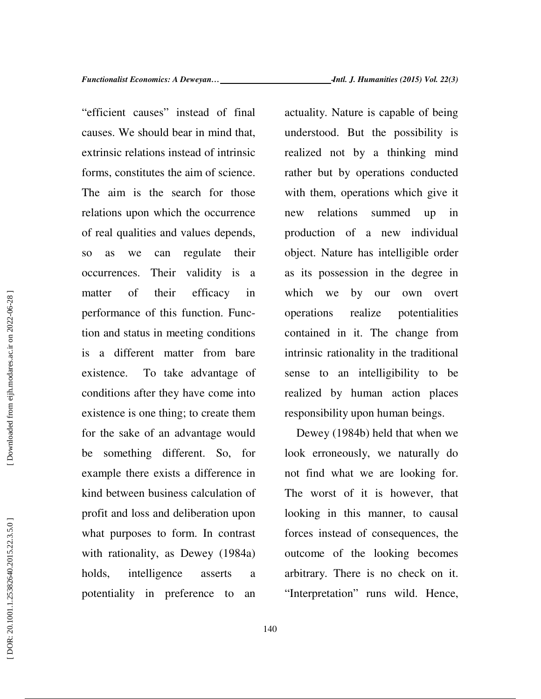"efficient causes" instead of final causes. We should bear in mind that, extrinsic relations instead of intrinsic forms, constitutes the aim of science. The aim is the search for those relations upon which the occurrence of real qualities and values depends, so as we can regulate their occurrences. Their validity is a matter of their efficacy in performance of this function. Function and status in meeting conditions is a different matter from bare existence. To take advantage of conditions after they have come into existence is one thing; to create them for the sake of an advantage would be something different. So, for example there exists a difference in kind between business calculation of profit and loss and deliberation upon what purposes to form. In contrast with rationality, as Dewey (1984a) holds, intelligence asserts a potentiality in preference to an

actuality. Nature is capable of being understood. But the possibility is realized not by a thinking mind rather but by operations conducted with them, operations which give it new relations summed up in production of a new individual object. Nature has intelligible order as its possession in the degree in which we by our own overt operations realize potentialities contained in it. The change from intrinsic rationality in the traditional sense to an intelligibility to be realized by human action places responsibility upon human beings.

Dewey (1984b) held that when we look erroneously, we naturally do not find what we are looking for. The worst of it is however, that looking in this manner, to causal forces instead of consequences, the outcome of the looking becomes arbitrary. There is no check on it. "Interpretation" runs wild. Hence,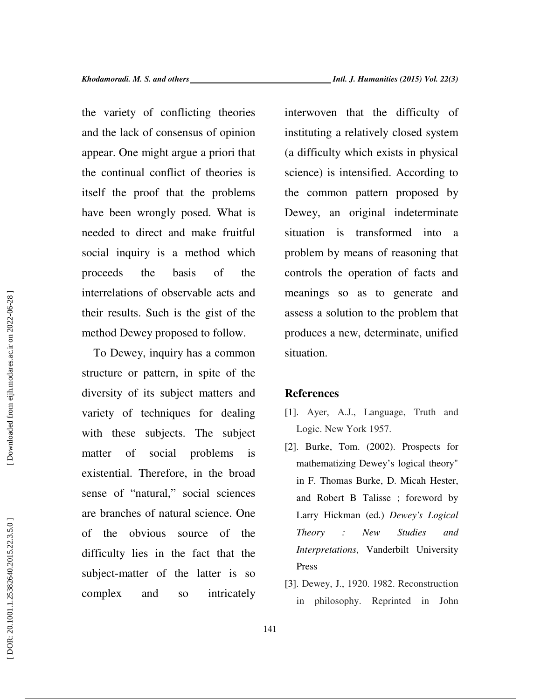the variety of conflicting theories and the lack of consensus of opinion appear. One might argue a priori that the continual conflict of theories is itself the proof that the problems have been wrongly posed. What is needed to direct and make fruitful social inquiry is a method which proceeds the basis of the interrelations of observable acts and their results. Such is the gist of the method Dewey proposed to follow.

To Dewey, inquiry has a common structure or pattern, in spite of the diversity of its subject matters and variety of techniques for dealing with these subjects. The subject matter of social problems is existential. Therefore, in the broad sense of "natural," social sciences are branches of natural science. One of the obvious source of the difficulty lies in the fact that the subject-matter of the latter is so complex and so intricately interwoven that the difficulty of instituting a relatively closed system (a difficulty which exists in physical science) is intensified. According to the common pattern proposed by Dewey, an original indeterminate situation is transformed into a problem by means of reasoning that controls the operation of facts and meanings so as to generate and assess a solution to the problem that produces a new, determinate, unified situation.

#### **References**

- [1]. Ayer, A.J., Language, Truth and Logic. New York 1957.
- [2]. Burke, Tom. (2002). Prospects for mathematizing Dewey's logical theory" in F. Thomas Burke, D. Micah Hester, and Robert B Talisse ; foreword by Larry Hickman (ed.) *Dewey's Logical Theory : New Studies and Interpretations*, Vanderbilt University Press
- [3]. Dewey, J., 1920. 1982. Reconstruction in philosophy. Reprinted in John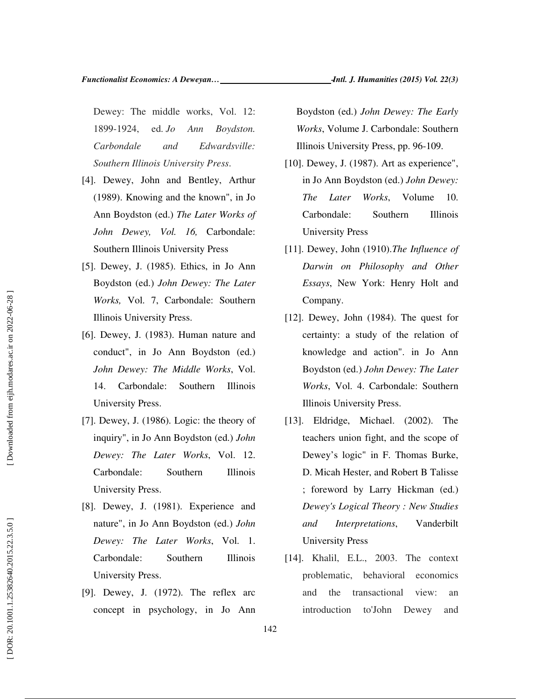Dewey: The middle works, Vol. 12: 1899-1924, ed. *Jo Ann Boydston. Carbondale and Edwardsville: Southern Illinois University Press* .

- [4]. Dewey, John and Bentley, Arthur (1989). Knowing and the known", in Jo Ann Boydston (ed.) *The Later Works of John Dewey, Vol. 16,* Carbondale: Southern Illinois University Press
- [5]. Dewey, J. (1985). Ethics, in Jo Ann Boydston (ed.) *John Dewey: The Later Works,* Vol. 7, Carbondale: Southern Illinois University Press.
- [6]. Dewey, J. (1983). Human nature and conduct", in Jo Ann Boydston (ed.) *John Dewey: The Middle Works*, Vol. 14. Carbondale: Southern Illinois University Press.
- [7]. Dewey, J. (1986). Logic: the theory of inquiry", in Jo Ann Boydston (ed.) *John Dewey: The Later Works*, Vol. 12. Carbondale: Southern Illinois University Press.
- [8]. Dewey, J. (1981). Experience and nature", in Jo Ann Boydston (ed.) *John Dewey: The Later Works*, Vol. 1. Carbondale: Southern Illinois University Press.
- [9]. Dewey, J. (1972). The reflex arc concept in psychology, in Jo Ann

Boydston (ed.) *John Dewey: The Early Works*, Volume J. Carbondale: Southern Illinois University Press, pp. 96-109.

- [10]. Dewey, J. (1987). Art as experience", in Jo Ann Boydston (ed.) *John Dewey: The Later Works*, Volume 10. Carbondale: Southern Illinois University Press
- [11]. Dewey, John (1910).*The Influence of Darwin on Philosophy and Other Essays*, New York: Henry Holt and Company.
- [12]. Dewey, John (1984). The quest for certainty: a study of the relation of knowledge and action". in Jo Ann Boydston (ed.) *John Dewey: The Later Works*, Vol. 4. Carbondale: Southern Illinois University Press.
- [13]. Eldridge, Michael. (2002). The teachers union fight, and the scope of Dewey's logic" in F. Thomas Burke, D. Micah Hester, and Robert B Talisse ; foreword by Larry Hickman (ed.) *Dewey's Logical Theory : New Studies and Interpretations*, Vanderbilt University Press
- [14]. Khalil, E.L., 2003. The context problematic, behavioral economics and the transactional view: an introduction to'John Dewey and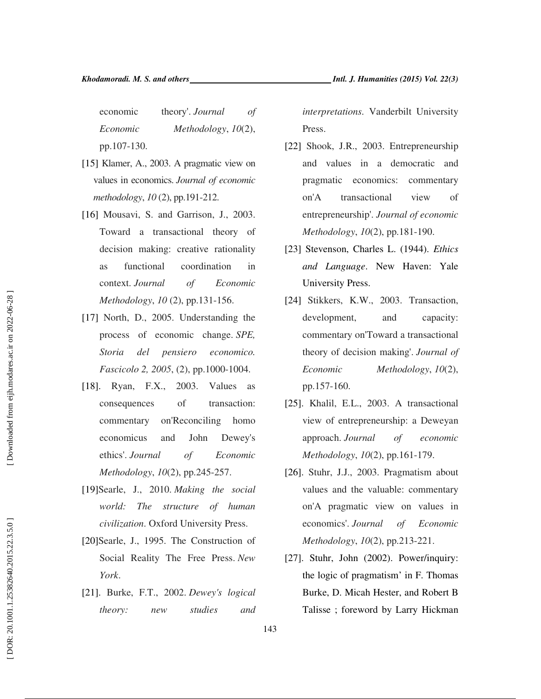*Khodamoradi. M. S. and others Intl. J. Humanities (2015) Vol. 22(3)* 

economic theory'. *Journal of Economic Methodology*, *10*(2), pp.107-130.

- [15] Klamer, A., 2003. A pragmatic view on values in economics. *Journal of economic methodology*, *10* (2), pp.191-212.
- [16] Mousavi, S. and Garrison, J., 2003. Toward a transactional theory of decision making: creative rationality as functional coordination in context. *Journal of Economic Methodology*, *10* (2), pp.131-156.
- [17] North, D., 2005. Understanding the process of economic change. *SPE, Storia del pensiero economico. Fascicolo 2, 2005*, (2), pp.1000-1004.
- [18]. Ryan, F.X., 2003. Values as consequences of transaction: commentary on'Reconciling homo economicus and John Dewey's ethics'. *Journal of Economic Methodology*, *10*(2), pp.245-257.
- [19]Searle, J., 2010. *Making the social world: The structure of human civilization*. Oxford University Press.
- [20]Searle, J., 1995. The Construction of Social Reality The Free Press. *New York* .
- [21]. Burke, F.T., 2002. *Dewey's logical theory: new studies and*

*interpretations*. Vanderbilt University Press.

- [22] Shook, J.R., 2003. Entrepreneurship and values in a democratic and pragmatic economics: commentary on'A transactional view of entrepreneurship'. *Journal of economic Methodology*, *10*(2), pp.181-190.
- [23] Stevenson, Charles L. (1944). *Ethics and Language*. New Haven: Yale University Press.
- [24] Stikkers, K.W., 2003. Transaction, development, and capacity: commentary on'Toward a transactional theory of decision making'. *Journal of Economic Methodology*, *10*(2), pp.157-160.
- [25]. Khalil, E.L., 2003. A transactional view of entrepreneurship: a Deweyan approach. *Journal of economic Methodology*, *10*(2), pp.161-179.
- [26]. Stuhr, J.J., 2003. Pragmatism about values and the valuable: commentary on'A pragmatic view on values in economics'. *Journal of Economic Methodology*, *10*(2), pp.213-221.
- [27]. Stuhr, John (2002). Power/inquiry: the logic of pragmatism' in F. Thomas Burke, D. Micah Hester, and Robert B Talisse ; foreword by Larry Hickman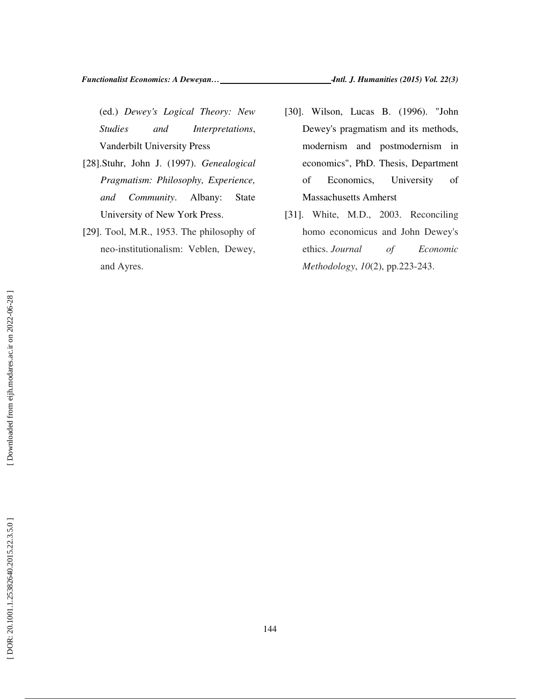(ed.) *Dewey's Logical Theory: New Studies and Interpretations*, Vanderbilt University Press

- [28].Stuhr, John J. (1997). *Genealogical Pragmatism: Philosophy, Experience, and Community*. Albany: State University of New York Press.
- [29]. Tool, M.R., 1953. The philosophy of neo-institutionalism: Veblen, Dewey, and Ayres.
- [30]. Wilson, Lucas B. (1996). "John Dewey's pragmatism and its methods, modernism and postmodernism in economics", PhD. Thesis, Department of Economics, University of Massachusetts Amherst
- [31]. White, M.D., 2003. Reconciling homo economicus and John Dewey's ethics. *Journal of Economic Methodology*, *10*(2), pp.223-243.